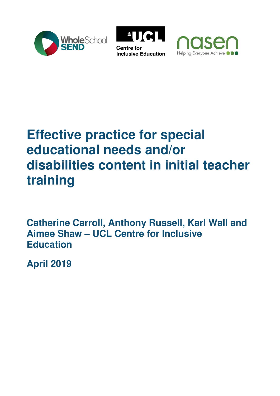





# **Effective practice for special educational needs and/or disabilities content in initial teacher training**

**Catherine Carroll, Anthony Russell, Karl Wall and Aimee Shaw – UCL Centre for Inclusive Education** 

**April 2019**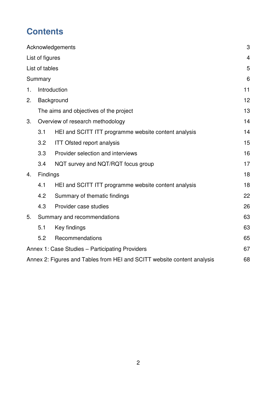## **Contents**

|                 |                                                 | Acknowledgements                                                        | 3              |
|-----------------|-------------------------------------------------|-------------------------------------------------------------------------|----------------|
| List of figures |                                                 |                                                                         | $\overline{4}$ |
| List of tables  |                                                 |                                                                         | 5              |
| Summary         |                                                 | 6                                                                       |                |
| 1.              |                                                 | Introduction                                                            | 11             |
| 2.              | Background                                      |                                                                         | 12             |
|                 |                                                 | The aims and objectives of the project                                  | 13             |
| 3.              | Overview of research methodology                |                                                                         |                |
|                 | 3.1                                             | HEI and SCITT ITT programme website content analysis                    | 14             |
|                 | 3.2                                             | <b>ITT Ofsted report analysis</b>                                       | 15             |
|                 | 3.3                                             | Provider selection and interviews                                       | 16             |
|                 | 3.4                                             | NQT survey and NQT/RQT focus group                                      | 17             |
| 4.              | Findings                                        |                                                                         |                |
|                 | 4.1                                             | HEI and SCITT ITT programme website content analysis                    | 18             |
|                 | 4.2                                             | Summary of thematic findings                                            | 22             |
|                 | 4.3                                             | Provider case studies                                                   | 26             |
| 5.              | Summary and recommendations                     |                                                                         | 63             |
|                 | 5.1                                             | Key findings                                                            | 63             |
|                 | 5.2                                             | Recommendations                                                         | 65             |
|                 | Annex 1: Case Studies - Participating Providers |                                                                         |                |
|                 |                                                 | Annex 2: Figures and Tables from HEI and SCITT website content analysis | 68             |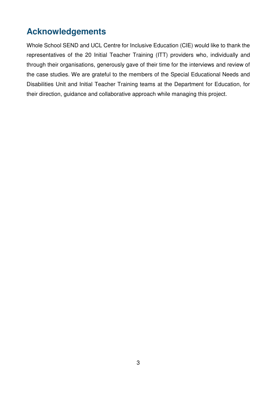### <span id="page-2-0"></span>**Acknowledgements**

Whole School SEND and UCL Centre for Inclusive Education (CIE) would like to thank the representatives of the 20 Initial Teacher Training (ITT) providers who, individually and through their organisations, generously gave of their time for the interviews and review of the case studies. We are grateful to the members of the Special Educational Needs and Disabilities Unit and Initial Teacher Training teams at the Department for Education, for their direction, guidance and collaborative approach while managing this project.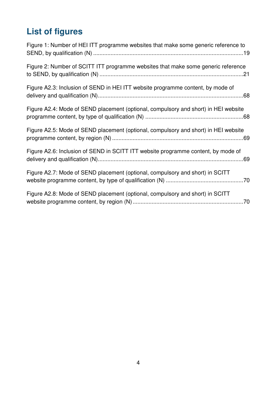# <span id="page-3-0"></span>**List of figures**

| Figure 1: Number of HEI ITT programme websites that make some generic reference to  |
|-------------------------------------------------------------------------------------|
| Figure 2: Number of SCITT ITT programme websites that make some generic reference   |
| Figure A2.3: Inclusion of SEND in HEI ITT website programme content, by mode of     |
| Figure A2.4: Mode of SEND placement (optional, compulsory and short) in HEI website |
| Figure A2.5: Mode of SEND placement (optional, compulsory and short) in HEI website |
| Figure A2.6: Inclusion of SEND in SCITT ITT website programme content, by mode of   |
| Figure A2.7: Mode of SEND placement (optional, compulsory and short) in SCITT       |
| Figure A2.8: Mode of SEND placement (optional, compulsory and short) in SCITT       |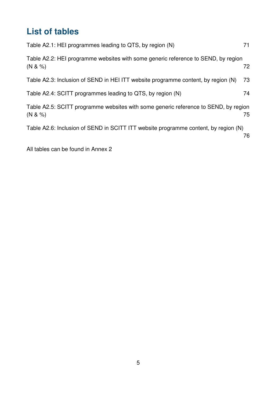## <span id="page-4-0"></span>**List of tables**

| Table A2.1: HEI programmes leading to QTS, by region (N)                                                  | 71 |  |  |  |
|-----------------------------------------------------------------------------------------------------------|----|--|--|--|
| Table A2.2: HEI programme websites with some generic reference to SEND, by region<br>$(N & 8 \%)$         | 72 |  |  |  |
| Table A2.3: Inclusion of SEND in HEI ITT website programme content, by region (N)                         | 73 |  |  |  |
| Table A2.4: SCITT programmes leading to QTS, by region (N)                                                | 74 |  |  |  |
| Table A2.5: SCITT programme websites with some generic reference to SEND, by region<br>$(N & 8 \%)$<br>75 |    |  |  |  |
| Table A2.6: Inclusion of SEND in SCITT ITT website programme content, by region (N)                       | 76 |  |  |  |

All tables can be found in Annex 2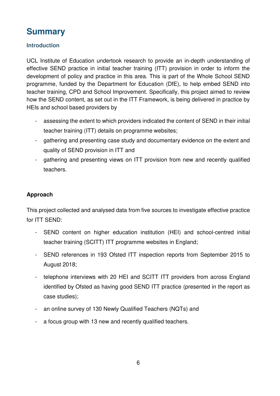### <span id="page-5-0"></span>**Summary**

#### **Introduction**

UCL Institute of Education undertook research to provide an in-depth understanding of effective SEND practice in initial teacher training (ITT) provision in order to inform the development of policy and practice in this area. This is part of the Whole School SEND programme, funded by the Department for Education (DfE), to help embed SEND into teacher training, CPD and School Improvement. Specifically, this project aimed to review how the SEND content, as set out in the ITT Framework, is being delivered in practice by HEIs and school based providers by

- assessing the extent to which providers indicated the content of SEND in their initial teacher training (ITT) details on programme websites;
- gathering and presenting case study and documentary evidence on the extent and quality of SEND provision in ITT and
- gathering and presenting views on ITT provision from new and recently qualified teachers.

#### **Approach**

This project collected and analysed data from five sources to investigate effective practice for ITT SEND:

- SEND content on higher education institution (HEI) and school-centred initial teacher training (SCITT) ITT programme websites in England;
- SEND references in 193 Ofsted ITT inspection reports from September 2015 to August 2018;
- telephone interviews with 20 HEI and SCITT ITT providers from across England identified by Ofsted as having good SEND ITT practice (presented in the report as case studies);
- an online survey of 130 Newly Qualified Teachers (NQTs) and
- a focus group with 13 new and recently qualified teachers.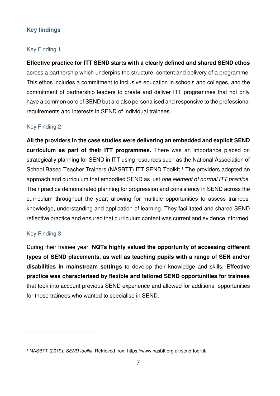#### **Key findings**

#### Key Finding 1

**Effective practice for ITT SEND starts with a clearly defined and shared SEND ethos** across a partnership which underpins the structure, content and delivery of a programme. This ethos includes a commitment to inclusive education in schools and colleges, and the commitment of partnership leaders to create and deliver ITT programmes that not only have a common core of SEND but are also personalised and responsive to the professional requirements and interests in SEND of individual trainees.

#### Key Finding 2

**All the providers in the case studies were delivering an embedded and explicit SEND curriculum as part of their ITT programmes.** There was an importance placed on strategically planning for SEND in ITT using resources such as the National Association of School Based Teacher Trainers (NASBTT) ITT SEND Toolkit.<sup>1</sup> The providers adopted an approach and curriculum that embodied SEND as just *one element of normal ITT practice*. Their practice demonstrated planning for progression and consistency in SEND across the curriculum throughout the year; allowing for multiple opportunities to assess trainees' knowledge, understanding and application of learning. They facilitated and shared SEND reflective practice and ensured that curriculum content was current and evidence informed.

#### Key Finding 3

<u>.</u>

During their trainee year, **NQTs highly valued the opportunity of accessing different types of SEND placements, as well as teaching pupils with a range of SEN and/or disabilities in mainstream settings** to develop their knowledge and skills. **Effective practice was characterised by flexible and tailored SEND opportunities for trainees** that took into account previous SEND experience and allowed for additional opportunities for those trainees who wanted to specialise in SEND.

<sup>1</sup> NASBTT (2019). *SEND toolkit*. Retrieved from https://www.nasbtt.org.uk/send-toolkit/.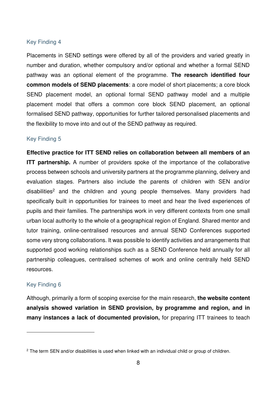#### Key Finding 4

Placements in SEND settings were offered by all of the providers and varied greatly in number and duration, whether compulsory and/or optional and whether a formal SEND pathway was an optional element of the programme. **The research identified four common models of SEND placements**: a core model of short placements; a core block SEND placement model, an optional formal SEND pathway model and a multiple placement model that offers a common core block SEND placement, an optional formalised SEND pathway, opportunities for further tailored personalised placements and the flexibility to move into and out of the SEND pathway as required.

#### Key Finding 5

**Effective practice for ITT SEND relies on collaboration between all members of an ITT partnership.** A number of providers spoke of the importance of the collaborative process between schools and university partners at the programme planning, delivery and evaluation stages. Partners also include the parents of children with SEN and/or disabilities<sup>2</sup> and the children and young people themselves. Many providers had specifically built in opportunities for trainees to meet and hear the lived experiences of pupils and their families. The partnerships work in very different contexts from one small urban local authority to the whole of a geographical region of England. Shared mentor and tutor training, online-centralised resources and annual SEND Conferences supported some very strong collaborations. It was possible to identify activities and arrangements that supported good working relationships such as a SEND Conference held annually for all partnership colleagues, centralised schemes of work and online centrally held SEND resources.

#### Key Finding 6

<u>.</u>

Although, primarily a form of scoping exercise for the main research, **the website content analysis showed variation in SEND provision, by programme and region, and in many instances a lack of documented provision,** for preparing ITT trainees to teach

<sup>&</sup>lt;sup>2</sup> The term SEN and/or disabilities is used when linked with an individual child or group of children.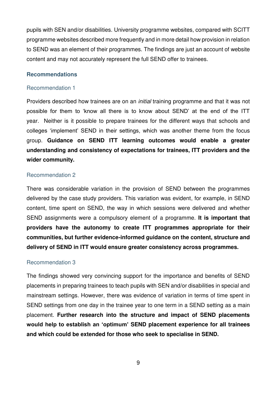pupils with SEN and/or disabilities. University programme websites, compared with SCITT programme websites described more frequently and in more detail how provision in relation to SEND was an element of their programmes. The findings are just an account of website content and may not accurately represent the full SEND offer to trainees.

#### **Recommendations**

#### Recommendation 1

Providers described how trainees are on an *initial* training programme and that it was not possible for them to 'know all there is to know about SEND' at the end of the ITT year. Neither is it possible to prepare trainees for the different ways that schools and colleges 'implement' SEND in their settings, which was another theme from the focus group. **Guidance on SEND ITT learning outcomes would enable a greater understanding and consistency of expectations for trainees, ITT providers and the wider community.** 

#### Recommendation 2

There was considerable variation in the provision of SEND between the programmes delivered by the case study providers. This variation was evident, for example, in SEND content, time spent on SEND, the way in which sessions were delivered and whether SEND assignments were a compulsory element of a programme. **It is important that providers have the autonomy to create ITT programmes appropriate for their communities, but further evidence-informed guidance on the content, structure and delivery of SEND in ITT would ensure greater consistency across programmes.** 

#### Recommendation 3

The findings showed very convincing support for the importance and benefits of SEND placements in preparing trainees to teach pupils with SEN and/or disabilities in special and mainstream settings. However, there was evidence of variation in terms of time spent in SEND settings from one day in the trainee year to one term in a SEND setting as a main placement. **Further research into the structure and impact of SEND placements would help to establish an 'optimum' SEND placement experience for all trainees and which could be extended for those who seek to specialise in SEND.**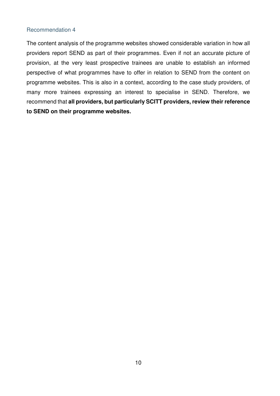#### Recommendation 4

The content analysis of the programme websites showed considerable variation in how all providers report SEND as part of their programmes. Even if not an accurate picture of provision, at the very least prospective trainees are unable to establish an informed perspective of what programmes have to offer in relation to SEND from the content on programme websites. This is also in a context, according to the case study providers, of many more trainees expressing an interest to specialise in SEND. Therefore, we recommend that **all providers, but particularly SCITT providers, review their reference to SEND on their programme websites.**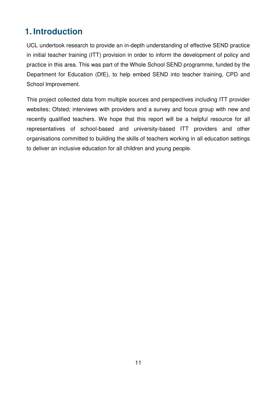### <span id="page-10-0"></span>**1. Introduction**

UCL undertook research to provide an in-depth understanding of effective SEND practice in initial teacher training (ITT) provision in order to inform the development of policy and practice in this area. This was part of the Whole School SEND programme, funded by the Department for Education (DfE), to help embed SEND into teacher training, CPD and School Improvement.

This project collected data from multiple sources and perspectives including ITT provider websites; Ofsted; interviews with providers and a survey and focus group with new and recently qualified teachers. We hope that this report will be a helpful resource for all representatives of school-based and university-based ITT providers and other organisations committed to building the skills of teachers working in all education settings to deliver an inclusive education for all children and young people.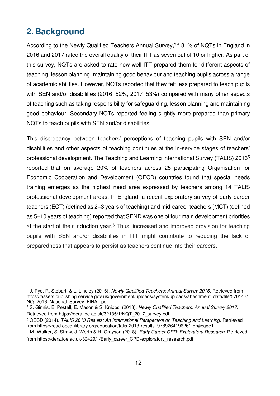### <span id="page-11-0"></span>**2. Background**

<u>.</u>

According to the Newly Qualified Teachers Annual Survey,<sup>3,4</sup> 81% of NQTs in England in 2016 and 2017 rated the overall quality of their ITT as seven out of 10 or higher. As part of this survey, NQTs are asked to rate how well ITT prepared them for different aspects of teaching; lesson planning, maintaining good behaviour and teaching pupils across a range of academic abilities. However, NQTs reported that they felt less prepared to teach pupils with SEN and/or disabilities (2016=52%, 2017=53%) compared with many other aspects of teaching such as taking responsibility for safeguarding, lesson planning and maintaining good behaviour. Secondary NQTs reported feeling slightly more prepared than primary NQTs to teach pupils with SEN and/or disabilities.

This discrepancy between teachers' perceptions of teaching pupils with SEN and/or disabilities and other aspects of teaching continues at the in-service stages of teachers' professional development. The Teaching and Learning International Survey (TALIS) 2013<sup>5</sup> reported that on average 20% of teachers across 25 participating Organisation for Economic Cooperation and Development (OECD) countries found that special needs training emerges as the highest need area expressed by teachers among 14 TALIS professional development areas. In England, a recent exploratory survey of early career teachers (ECT) (defined as 2–3 years of teaching) and mid-career teachers (MCT) (defined as 5–10 years of teaching) reported that SEND was one of four main development priorities at the start of their induction year.<sup>6</sup> Thus, increased and improved provision for teaching pupils with SEN and/or disabilities in ITT might contribute to reducing the lack of preparedness that appears to persist as teachers continue into their careers.

<sup>3</sup> J. Pye, R. Stobart, & L. Lindley (2016). *Newly Qualified Teachers: Annual Survey 2016*. Retrieved from https://assets.publishing.service.gov.uk/government/uploads/system/uploads/attachment\_data/file/570147/ NQT2016 National Survey FINAL.pdf.

<sup>4</sup> S. Ginnis, E. Pestell, E. Mason & S. Knibbs, (2018). *Newly Qualified Teachers: Annual Survey 2017*. Retrieved from https://dera.ioe.ac.uk/32135/1/NQT\_2017\_survey.pdf.

<sup>5</sup> OECD (2014). *TALIS 2013 Results: An International Perspective on Teaching and Learning*. Retrieved from https://read.oecd-ilibrary.org/education/talis-2013-results\_9789264196261-en#page1.

<sup>6</sup> M. Walker, S. Straw, J. Worth & H. Grayson (2018). *Early Career CPD: Exploratory Research*. Retrieved from https://dera.ioe.ac.uk/32429/1/Early\_career\_CPD-exploratory\_research.pdf.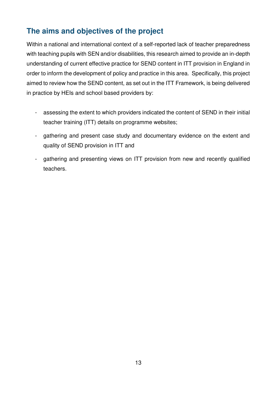### <span id="page-12-0"></span>**The aims and objectives of the project**

Within a national and international context of a self-reported lack of teacher preparedness with teaching pupils with SEN and/or disabilities, this research aimed to provide an in-depth understanding of current effective practice for SEND content in ITT provision in England in order to inform the development of policy and practice in this area. Specifically, this project aimed to review how the SEND content, as set out in the ITT Framework, is being delivered in practice by HEIs and school based providers by:

- assessing the extent to which providers indicated the content of SEND in their initial teacher training (ITT) details on programme websites;
- gathering and present case study and documentary evidence on the extent and quality of SEND provision in ITT and
- gathering and presenting views on ITT provision from new and recently qualified teachers.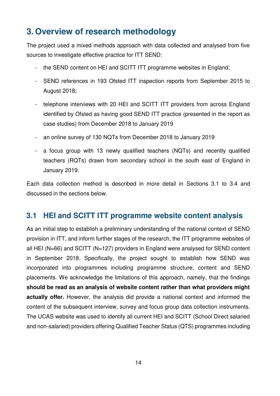### <span id="page-13-0"></span>**3. Overview of research methodology**

The project used a mixed methods approach with data collected and analysed from five sources to investigate effective practice for ITT SEND:

- the SEND content on HEI and SCITT ITT programme websites in England;
- SEND references in 193 Ofsted ITT inspection reports from September 2015 to August 2018;
- telephone interviews with 20 HEI and SCITT ITT providers from across England identified by Ofsted as having good SEND ITT practice (presented in the report as case studies) from December 2018 to January 2019
- an online survey of 130 NQTs from December 2018 to January 2019
- a focus group with 13 newly qualified teachers (NQTs) and recently qualified teachers (RQTs) drawn from secondary school in the south east of England in January 2019.

Each data collection method is described in more detail in Sections 3.1 to 3.4 and discussed in the sections below.

### <span id="page-13-1"></span>**3.1 HEI and SCITT ITT programme website content analysis**

As an initial step to establish a preliminary understanding of the national context of SEND provision in ITT, and inform further stages of the research, the ITT programme websites of all HEI (N=66) and SCITT (N=127) providers in England were analysed for SEND content in September 2018. Specifically, the project sought to establish how SEND was incorporated into programmes including programme structure, content and SEND placements. We acknowledge the limitations of this approach, namely, that the findings **should be read as an analysis of website content rather than what providers might actually offer.** However, the analysis did provide a national context and informed the content of the subsequent interview, survey and focus group data collection instruments. The UCAS website was used to identify all current HEI and SCITT (School Direct salaried and non-salaried) providers offering Qualified Teacher Status (QTS) programmes including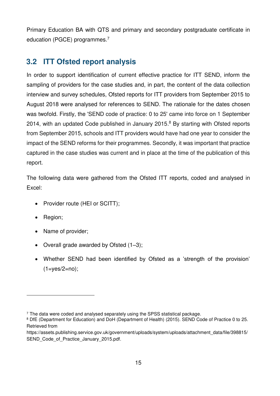Primary Education BA with QTS and primary and secondary postgraduate certificate in education (PGCE) programmes.<sup>7</sup>

### <span id="page-14-0"></span>**3.2 ITT Ofsted report analysis**

In order to support identification of current effective practice for ITT SEND, inform the sampling of providers for the case studies and, in part, the content of the data collection interview and survey schedules, Ofsted reports for ITT providers from September 2015 to August 2018 were analysed for references to SEND. The rationale for the dates chosen was twofold. Firstly, the 'SEND code of practice: 0 to 25' came into force on 1 September 2014, with an updated Code published in January 2015. $8$  By starting with Ofsted reports from September 2015, schools and ITT providers would have had one year to consider the impact of the SEND reforms for their programmes. Secondly, it was important that practice captured in the case studies was current and in place at the time of the publication of this report.

The following data were gathered from the Ofsted ITT reports, coded and analysed in Excel:

- Provider route (HEI or SCITT);
- Region;

<u>.</u>

- Name of provider;
- Overall grade awarded by Ofsted (1–3);
- Whether SEND had been identified by Ofsted as a 'strength of the provision'  $(1 = yes/2 = no);$

<sup>7</sup> The data were coded and analysed separately using the SPSS statistical package.

<sup>8</sup> DfE (Department for Education) and DoH (Department of Health) (2015). SEND Code of Practice 0 to 25. Retrieved from

https://assets.publishing.service.gov.uk/government/uploads/system/uploads/attachment\_data/file/398815/ SEND Code of Practice January 2015.pdf.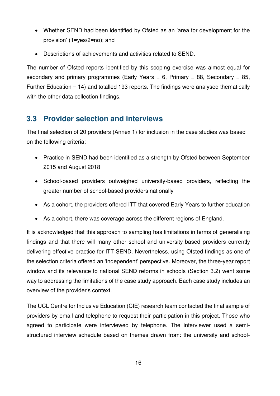- Whether SEND had been identified by Ofsted as an 'area for development for the provision' (1=yes/2=no); and
- Descriptions of achievements and activities related to SEND.

The number of Ofsted reports identified by this scoping exercise was almost equal for secondary and primary programmes (Early Years  $= 6$ , Primary  $= 88$ , Secondary  $= 85$ , Further Education = 14) and totalled 193 reports. The findings were analysed thematically with the other data collection findings.

### <span id="page-15-0"></span>**3.3 Provider selection and interviews**

The final selection of 20 providers (Annex 1) for inclusion in the case studies was based on the following criteria:

- Practice in SEND had been identified as a strength by Ofsted between September 2015 and August 2018
- School-based providers outweighed university-based providers, reflecting the greater number of school-based providers nationally
- As a cohort, the providers offered ITT that covered Early Years to further education
- As a cohort, there was coverage across the different regions of England.

It is acknowledged that this approach to sampling has limitations in terms of generalising findings and that there will many other school and university-based providers currently delivering effective practice for ITT SEND. Nevertheless, using Ofsted findings as one of the selection criteria offered an 'independent' perspective. Moreover, the three-year report window and its relevance to national SEND reforms in schools (Section 3.2) went some way to addressing the limitations of the case study approach. Each case study includes an overview of the provider's context.

The UCL Centre for Inclusive Education (CIE) research team contacted the final sample of providers by email and telephone to request their participation in this project. Those who agreed to participate were interviewed by telephone. The interviewer used a semistructured interview schedule based on themes drawn from: the university and school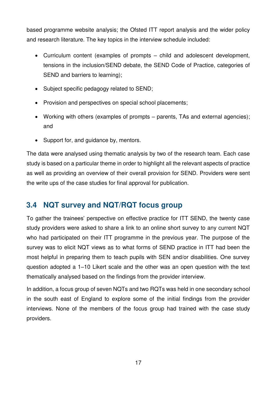based programme website analysis; the Ofsted ITT report analysis and the wider policy and research literature. The key topics in the interview schedule included:

- Curriculum content (examples of prompts child and adolescent development, tensions in the inclusion/SEND debate, the SEND Code of Practice, categories of SEND and barriers to learning);
- Subject specific pedagogy related to SEND;
- Provision and perspectives on special school placements;
- Working with others (examples of prompts parents, TAs and external agencies); and
- Support for, and guidance by, mentors.

The data were analysed using thematic analysis by two of the research team. Each case study is based on a particular theme in order to highlight all the relevant aspects of practice as well as providing an overview of their overall provision for SEND. Providers were sent the write ups of the case studies for final approval for publication.

### <span id="page-16-0"></span>**3.4 NQT survey and NQT/RQT focus group**

To gather the trainees' perspective on effective practice for ITT SEND, the twenty case study providers were asked to share a link to an online short survey to any current NQT who had participated on their ITT programme in the previous year. The purpose of the survey was to elicit NQT views as to what forms of SEND practice in ITT had been the most helpful in preparing them to teach pupils with SEN and/or disabilities. One survey question adopted a 1–10 Likert scale and the other was an open question with the text thematically analysed based on the findings from the provider interview.

In addition, a focus group of seven NQTs and two RQTs was held in one secondary school in the south east of England to explore some of the initial findings from the provider interviews. None of the members of the focus group had trained with the case study providers.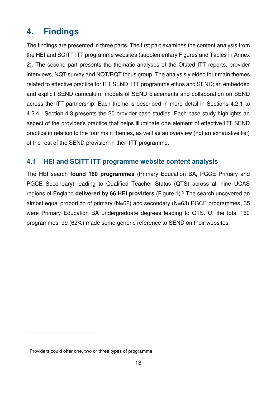### <span id="page-17-0"></span>**4. Findings**

The findings are presented in three parts. The first part examines the content analysis from the HEI and SCITT ITT programme websites (supplementary Figures and Tables in Annex 2). The second part presents the thematic analyses of the Ofsted ITT reports, provider interviews, NQT survey and NQT/RQT focus group. The analysis yielded four main themes related to effective practice for ITT SEND: ITT programme ethos and SEND; an embedded and explicit SEND curriculum; models of SEND placements and collaboration on SEND across the ITT partnership. Each theme is described in more detail in Sections 4.2.1 to 4.2.4. Section 4.3 presents the 20 provider case studies. Each case study highlights an aspect of the provider's practice that helps illuminate one element of effective ITT SEND practice in relation to the four main themes, as well as an overview (not an exhaustive list) of the rest of the SEND provision in their ITT programme.

#### <span id="page-17-1"></span>**4.1 HEI and SCITT ITT programme website content analysis**

The HEI search **found 160 programmes** (Primary Education BA, PGCE Primary and PGCE Secondary) leading to Qualified Teacher Status (QTS) across all nine UCAS regions of England **delivered by 66 HEI providers** (Figure 1).<sup>9</sup> The search uncovered an almost equal proportion of primary (N=62) and secondary (N=63) PGCE programmes, 35 were Primary Education BA undergraduate degrees leading to QTS. Of the total 160 programmes, 99 (62%) made some generic reference to SEND on their websites.

<u>.</u>

<sup>9</sup> Providers could offer one, two or three types of programme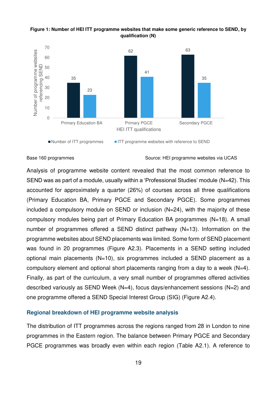

#### <span id="page-18-0"></span>**Figure 1: Number of HEI ITT programme websites that make some generic reference to SEND, by qualification (N)**

Base 160 programmes **Source: HEI programme websites via UCAS** 

Analysis of programme website content revealed that the most common reference to SEND was as part of a module, usually within a 'Professional Studies' module (N=42). This accounted for approximately a quarter (26%) of courses across all three qualifications (Primary Education BA, Primary PGCE and Secondary PGCE). Some programmes included a compulsory module on SEND or inclusion (N=24), with the majority of these compulsory modules being part of Primary Education BA programmes (N=18). A small number of programmes offered a SEND distinct pathway (N=13). Information on the programme websites about SEND placements was limited. Some form of SEND placement was found in 20 programmes (Figure A2.3). Placements in a SEND setting included optional main placements (N=10), six programmes included a SEND placement as a compulsory element and optional short placements ranging from a day to a week (N=4). Finally, as part of the curriculum, a very small number of programmes offered activities described variously as SEND Week (N=4), focus days/enhancement sessions (N=2) and one programme offered a SEND Special Interest Group (SIG) (Figure A2.4).

#### **Regional breakdown of HEI programme website analysis**

The distribution of ITT programmes across the regions ranged from 28 in London to nine programmes in the Eastern region. The balance between Primary PGCE and Secondary PGCE programmes was broadly even within each region (Table A2.1). A reference to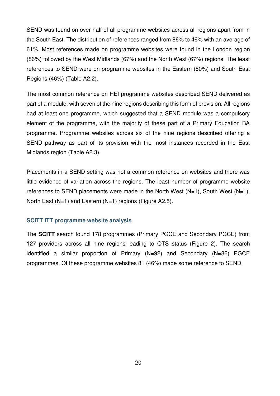SEND was found on over half of all programme websites across all regions apart from in the South East. The distribution of references ranged from 86% to 46% with an average of 61%. Most references made on programme websites were found in the London region (86%) followed by the West Midlands (67%) and the North West (67%) regions. The least references to SEND were on programme websites in the Eastern (50%) and South East Regions (46%) (Table A2.2).

The most common reference on HEI programme websites described SEND delivered as part of a module, with seven of the nine regions describing this form of provision. All regions had at least one programme, which suggested that a SEND module was a compulsory element of the programme, with the majority of these part of a Primary Education BA programme. Programme websites across six of the nine regions described offering a SEND pathway as part of its provision with the most instances recorded in the East Midlands region (Table A2.3).

Placements in a SEND setting was not a common reference on websites and there was little evidence of variation across the regions. The least number of programme website references to SEND placements were made in the North West  $(N=1)$ , South West  $(N=1)$ , North East (N=1) and Eastern (N=1) regions (Figure A2.5).

#### **SCITT ITT programme website analysis**

The **SCITT** search found 178 programmes (Primary PGCE and Secondary PGCE) from 127 providers across all nine regions leading to QTS status (Figure 2). The search identified a similar proportion of Primary (N=92) and Secondary (N=86) PGCE programmes. Of these programme websites 81 (46%) made some reference to SEND.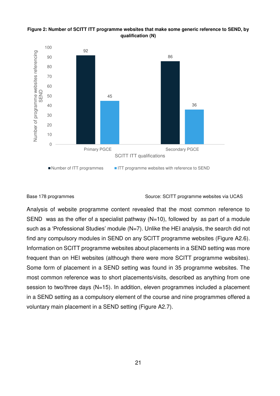#### <span id="page-20-0"></span>**Figure 2: Number of SCITT ITT programme websites that make some generic reference to SEND, by qualification (N)**



#### Base 178 programmes The Source: SCITT programme websites via UCAS

Analysis of website programme content revealed that the most common reference to SEND was as the offer of a specialist pathway  $(N=10)$ , followed by as part of a module such as a 'Professional Studies' module (N=7). Unlike the HEI analysis, the search did not find any compulsory modules in SEND on any SCITT programme websites (Figure A2.6). Information on SCITT programme websites about placements in a SEND setting was more frequent than on HEI websites (although there were more SCITT programme websites). Some form of placement in a SEND setting was found in 35 programme websites. The most common reference was to short placements/visits, described as anything from one session to two/three days (N=15). In addition, eleven programmes included a placement in a SEND setting as a compulsory element of the course and nine programmes offered a voluntary main placement in a SEND setting (Figure A2.7).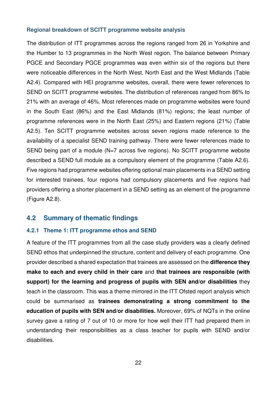#### **Regional breakdown of SCITT programme website analysis**

The distribution of ITT programmes across the regions ranged from 26 in Yorkshire and the Humber to 13 programmes in the North West region. The balance between Primary PGCE and Secondary PGCE programmes was even within six of the regions but there were noticeable differences in the North West, North East and the West Midlands (Table A2.4). Compared with HEI programme websites, overall, there were fewer references to SEND on SCITT programme websites. The distribution of references ranged from 86% to 21% with an average of 46%. Most references made on programme websites were found in the South East (86%) and the East Midlands (81%) regions; the least number of programme references were in the North East (25%) and Eastern regions (21%) (Table A2.5). Ten SCITT programme websites across seven regions made reference to the availability of a specialist SEND training pathway. There were fewer references made to SEND being part of a module (N=7 across five regions). No SCITT programme website described a SEND full module as a compulsory element of the programme (Table A2.6). Five regions had programme websites offering optional main placements in a SEND setting for interested trainees, four regions had compulsory placements and five regions had providers offering a shorter placement in a SEND setting as an element of the programme (Figure A2.8).

#### <span id="page-21-0"></span>**4.2 Summary of thematic findings**

#### **4.2.1 Theme 1: ITT programme ethos and SEND**

A feature of the ITT programmes from all the case study providers was a clearly defined SEND ethos that underpinned the structure, content and delivery of each programme. One provider described a shared expectation that trainees are assessed on the **difference they make to each and every child in their care** and **that trainees are responsible (with support) for the learning and progress of pupils with SEN and/or disabilities** they teach in the classroom. This was a theme mirrored in the ITT Ofsted report analysis which could be summarised as **trainees demonstrating a strong commitment to the education of pupils with SEN and/or disabilities.** Moreover, 69% of NQTs in the online survey gave a rating of 7 out of 10 or more for how well their ITT had prepared them in understanding their responsibilities as a class teacher for pupils with SEND and/or disabilities.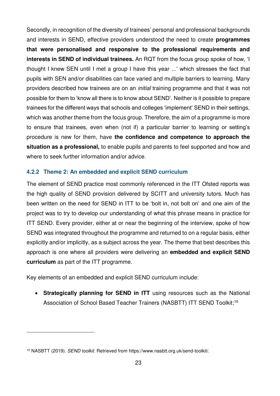Secondly, in recognition of the diversity of trainees' personal and professional backgrounds and interests in SEND, effective providers understood the need to create **programmes that were personalised and responsive to the professional requirements and interests in SEND of individual trainees.** An RQT from the focus group spoke of how, 'I thought I knew SEN until I met a group I have this year ...' which stresses the fact that pupils with SEN and/or disabilities can face varied and multiple barriers to learning. Many providers described how trainees are on an *initial* training programme and that it was not possible for them to 'know all there is to know about SEND'. Neither is it possible to prepare trainees for the different ways that schools and colleges 'implement' SEND in their settings, which was another theme from the focus group. Therefore, the aim of a programme is more to ensure that trainees, even when (not if) a particular barrier to learning or setting's procedure is new for them, have **the confidence and competence to approach the situation as a professional,** to enable pupils and parents to feel supported and how and where to seek further information and/or advice.

#### **4.2.2 Theme 2: An embedded and explicit SEND curriculum**

The element of SEND practice most commonly referenced in the ITT Ofsted reports was the high quality of SEND provision delivered by SCITT and university tutors. Much has been written on the need for SEND in ITT to be 'bolt in, not bolt on' and one aim of the project was to try to develop our understanding of what this phrase means in practice for ITT SEND. Every provider, either at or near the beginning of the interview, spoke of how SEND was integrated throughout the programme and returned to on a regular basis, either explicitly and/or implicitly, as a subject across the year. The theme that best describes this approach is one where all providers were delivering an **embedded and explicit SEND curriculum** as part of the ITT programme.

Key elements of an embedded and explicit SEND curriculum include:

 **Strategically planning for SEND in ITT** using resources such as the National Association of School Based Teacher Trainers (NASBTT) ITT SEND Toolkit;<sup>10</sup>

<u>.</u>

<sup>10</sup> NASBTT (2019). *SEND toolkit*. Retrieved from https://www.nasbtt.org.uk/send-toolkit/.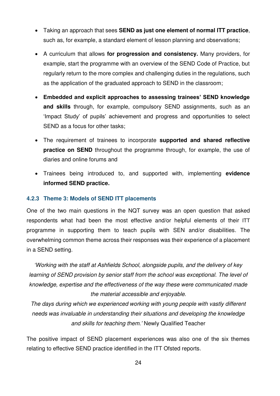- Taking an approach that sees **SEND as just one element of normal ITT practice**, such as, for example, a standard element of lesson planning and observations;
- A curriculum that allows **for progression and consistency.** Many providers, for example, start the programme with an overview of the SEND Code of Practice, but regularly return to the more complex and challenging duties in the regulations, such as the application of the graduated approach to SEND in the classroom;
- **Embedded and explicit approaches to assessing trainees' SEND knowledge and skills** through, for example, compulsory SEND assignments, such as an 'Impact Study' of pupils' achievement and progress and opportunities to select SEND as a focus for other tasks;
- The requirement of trainees to incorporate **supported and shared reflective practice on SEND** throughout the programme through, for example, the use of diaries and online forums and
- Trainees being introduced to, and supported with, implementing **evidence informed SEND practice.**

#### **4.2.3 Theme 3: Models of SEND ITT placements**

One of the two main questions in the NQT survey was an open question that asked respondents what had been the most effective and/or helpful elements of their ITT programme in supporting them to teach pupils with SEN and/or disabilities. The overwhelming common theme across their responses was their experience of a placement in a SEND setting.

*'Working with the staff at Ashfields School, alongside pupils, and the delivery of key*  learning of SEND provision by senior staff from the school was exceptional. The level of *knowledge, expertise and the effectiveness of the way these were communicated made the material accessible and enjoyable.* 

*The days during which we experienced working with young people with vastly different needs was invaluable in understanding their situations and developing the knowledge and skills for teaching them.'* Newly Qualified Teacher

The positive impact of SEND placement experiences was also one of the six themes relating to effective SEND practice identified in the ITT Ofsted reports.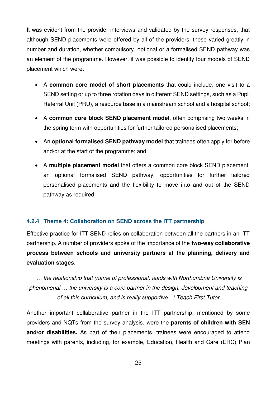It was evident from the provider interviews and validated by the survey responses, that although SEND placements were offered by all of the providers, these varied greatly in number and duration, whether compulsory, optional or a formalised SEND pathway was an element of the programme. However, it was possible to identify four models of SEND placement which were:

- A **common core model of short placements** that could include; one visit to a SEND setting or up to three rotation days in different SEND settings, such as a Pupil Referral Unit (PRU), a resource base in a mainstream school and a hospital school;
- A **common core block SEND placement model**, often comprising two weeks in the spring term with opportunities for further tailored personalised placements;
- An **optional formalised SEND pathway model** that trainees often apply for before and/or at the start of the programme; and
- A **multiple placement model** that offers a common core block SEND placement, an optional formalised SEND pathway, opportunities for further tailored personalised placements and the flexibility to move into and out of the SEND pathway as required.

#### **4.2.4 Theme 4: Collaboration on SEND across the ITT partnership**

Effective practice for ITT SEND relies on collaboration between all the partners in an ITT partnership. A number of providers spoke of the importance of the **two-way collaborative process between schools and university partners at the planning, delivery and evaluation stages.** 

*'… the relationship that (name of professional) leads with Northumbria University is phenomenal … the university is a core partner in the design, development and teaching of all this curriculum, and is really supportive…' Teach First Tutor* 

Another important collaborative partner in the ITT partnership, mentioned by some providers and NQTs from the survey analysis, were the **parents of children with SEN and/or disabilities.** As part of their placements, trainees were encouraged to attend meetings with parents, including, for example, Education, Health and Care (EHC) Plan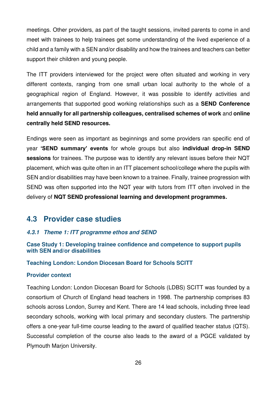meetings. Other providers, as part of the taught sessions, invited parents to come in and meet with trainees to help trainees get some understanding of the lived experience of a child and a family with a SEN and/or disability and how the trainees and teachers can better support their children and young people.

The ITT providers interviewed for the project were often situated and working in very different contexts, ranging from one small urban local authority to the whole of a geographical region of England. However, it was possible to identify activities and arrangements that supported good working relationships such as a **SEND Conference held annually for all partnership colleagues, centralised schemes of work** and **online centrally held SEND resources.** 

Endings were seen as important as beginnings and some providers ran specific end of year **'SEND summary' events** for whole groups but also **individual drop-in SEND sessions** for trainees. The purpose was to identify any relevant issues before their NQT placement, which was quite often in an ITT placement school/college where the pupils with SEN and/or disabilities may have been known to a trainee. Finally, trainee progression with SEND was often supported into the NQT year with tutors from ITT often involved in the delivery of **NQT SEND professional learning and development programmes.**

#### <span id="page-25-0"></span>**4.3 Provider case studies**

#### *4.3.1 Theme 1: ITT programme ethos and SEND*

#### **Case Study 1: Developing trainee confidence and competence to support pupils with SEN and/or disabilities**

#### **Teaching London: London Diocesan Board for Schools SCITT**

#### **Provider context**

Teaching London: London Diocesan Board for Schools (LDBS) SCITT was founded by a consortium of Church of England head teachers in 1998. The partnership comprises 83 schools across London, Surrey and Kent. There are 14 lead schools, including three lead secondary schools, working with local primary and secondary clusters. The partnership offers a one-year full-time course leading to the award of qualified teacher status (QTS). Successful completion of the course also leads to the award of a PGCE validated by Plymouth Marjon University.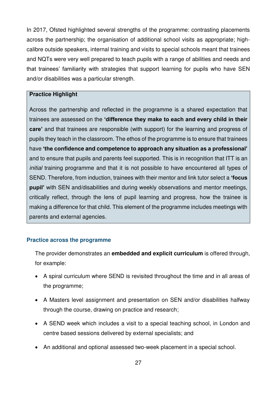In 2017, Ofsted highlighted several strengths of the programme: contrasting placements across the partnership; the organisation of additional school visits as appropriate; highcalibre outside speakers, internal training and visits to special schools meant that trainees and NQTs were very well prepared to teach pupils with a range of abilities and needs and that trainees' familiarity with strategies that support learning for pupils who have SEN and/or disabilities was a particular strength.

#### **Practice Highlight**

Across the partnership and reflected in the programme is a shared expectation that trainees are assessed on the **'difference they make to each and every child in their care'** and that trainees are responsible (with support) for the learning and progress of pupils they teach in the classroom. The ethos of the programme is to ensure that trainees have **'the confidence and competence to approach any situation as a professional'** and to ensure that pupils and parents feel supported. This is in recognition that ITT is an *initial* training programme and that it is not possible to have encountered all types of SEND. Therefore, from induction, trainees with their mentor and link tutor select a **'focus pupil'** with SEN and/disabilities and during weekly observations and mentor meetings, critically reflect, through the lens of pupil learning and progress, how the trainee is making a difference for that child. This element of the programme includes meetings with parents and external agencies.

#### **Practice across the programme**

The provider demonstrates an **embedded and explicit curriculum** is offered through, for example:

- A spiral curriculum where SEND is revisited throughout the time and in all areas of the programme;
- A Masters level assignment and presentation on SEN and/or disabilities halfway through the course, drawing on practice and research;
- A SEND week which includes a visit to a special teaching school, in London and centre based sessions delivered by external specialists; and
- An additional and optional assessed two-week placement in a special school.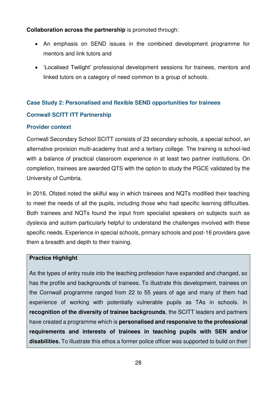#### **Collaboration across the partnership** is promoted through:

- An emphasis on SEND issues in the combined development programme for mentors and link tutors and
- 'Localised Twilight' professional development sessions for trainees, mentors and linked tutors on a category of need common to a group of schools.

# **Case Study 2: Personalised and flexible SEND opportunities for trainees**

#### **Cornwall SCITT ITT Partnership**

#### **Provider context**

Cornwall Secondary School SCITT consists of 23 secondary schools, a special school, an alternative provision multi-academy trust and a tertiary college. The training is school-led with a balance of practical classroom experience in at least two partner institutions. On completion, trainees are awarded QTS with the option to study the PGCE validated by the University of Cumbria.

In 2016, Ofsted noted the skilful way in which trainees and NQTs modified their teaching to meet the needs of all the pupils, including those who had specific learning difficulties. Both trainees and NQTs found the input from specialist speakers on subjects such as dyslexia and autism particularly helpful to understand the challenges involved with these specific needs. Experience in special schools, primary schools and post-16 providers gave them a breadth and depth to their training.

#### **Practice Highlight**

As the types of entry route into the teaching profession have expanded and changed, so has the profile and backgrounds of trainees. To illustrate this development, trainees on the Cornwall programme ranged from 22 to 55 years of age and many of them had experience of working with potentially vulnerable pupils as TAs in schools. In **recognition of the diversity of trainee backgrounds**, the SCITT leaders and partners have created a programme which is **personalised and responsive to the professional requirements and interests of trainees in teaching pupils with SEN and/or disabilities.** To illustrate this ethos a former police officer was supported to build on their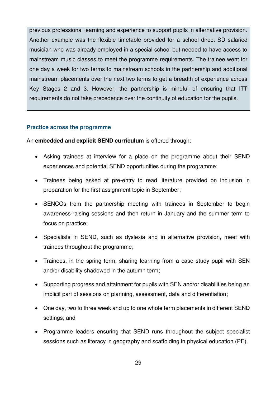previous professional learning and experience to support pupils in alternative provision. Another example was the flexible timetable provided for a school direct SD salaried musician who was already employed in a special school but needed to have access to mainstream music classes to meet the programme requirements. The trainee went for one day a week for two terms to mainstream schools in the partnership and additional mainstream placements over the next two terms to get a breadth of experience across Key Stages 2 and 3. However, the partnership is mindful of ensuring that ITT requirements do not take precedence over the continuity of education for the pupils.

#### **Practice across the programme**

An **embedded and explicit SEND curriculum** is offered through:

- Asking trainees at interview for a place on the programme about their SEND experiences and potential SEND opportunities during the programme;
- Trainees being asked at pre-entry to read literature provided on inclusion in preparation for the first assignment topic in September;
- SENCOs from the partnership meeting with trainees in September to begin awareness-raising sessions and then return in January and the summer term to focus on practice;
- Specialists in SEND, such as dyslexia and in alternative provision, meet with trainees throughout the programme;
- Trainees, in the spring term, sharing learning from a case study pupil with SEN and/or disability shadowed in the autumn term;
- Supporting progress and attainment for pupils with SEN and/or disabilities being an implicit part of sessions on planning, assessment, data and differentiation;
- One day, two to three week and up to one whole term placements in different SEND settings; and
- Programme leaders ensuring that SEND runs throughout the subject specialist sessions such as literacy in geography and scaffolding in physical education (PE).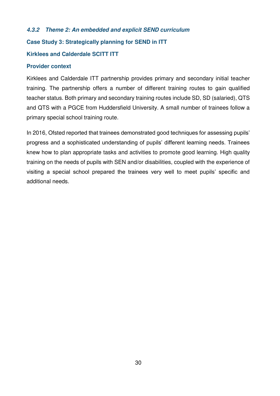#### *4.3.2 Theme 2: An embedded and explicit SEND curriculum*

#### **Case Study 3: Strategically planning for SEND in ITT**

#### **Kirklees and Calderdale SCITT ITT**

#### **Provider context**

Kirklees and Calderdale ITT partnership provides primary and secondary initial teacher training. The partnership offers a number of different training routes to gain qualified teacher status. Both primary and secondary training routes include SD, SD (salaried), QTS and QTS with a PGCE from Huddersfield University. A small number of trainees follow a primary special school training route.

In 2016, Ofsted reported that trainees demonstrated good techniques for assessing pupils' progress and a sophisticated understanding of pupils' different learning needs. Trainees knew how to plan appropriate tasks and activities to promote good learning. High quality training on the needs of pupils with SEN and/or disabilities, coupled with the experience of visiting a special school prepared the trainees very well to meet pupils' specific and additional needs.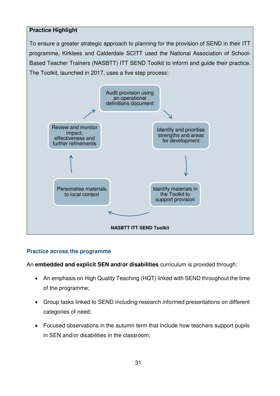#### **Practice Highlight**

To ensure a greater strategic approach to planning for the provision of SEND in their ITT programme, Kirklees and Calderdale SCITT used the National Association of School-Based Teacher Trainers (NASBTT) ITT SEND Toolkit to inform and guide their practice. The Toolkit, launched in 2017, uses a five step process:



#### **Practice across the programme**

An **embedded and explicit SEN and/or disabilities** curriculum is provided through:

- An emphasis on High Quality Teaching (HQT) linked with SEND throughout the time of the programme;
- Group tasks linked to SEND including research informed presentations on different categories of need;
- Focused observations in the autumn term that include how teachers support pupils in SEN and/or disabilities in the classroom;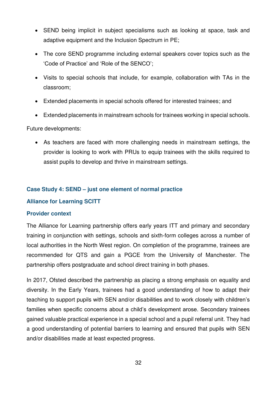- SEND being implicit in subject specialisms such as looking at space, task and adaptive equipment and the Inclusion Spectrum in PE;
- The core SEND programme including external speakers cover topics such as the 'Code of Practice' and 'Role of the SENCO';
- Visits to special schools that include, for example, collaboration with TAs in the classroom;
- Extended placements in special schools offered for interested trainees; and
- Extended placements in mainstream schools for trainees working in special schools.

Future developments:

 As teachers are faced with more challenging needs in mainstream settings, the provider is looking to work with PRUs to equip trainees with the skills required to assist pupils to develop and thrive in mainstream settings.

#### **Case Study 4: SEND – just one element of normal practice**

#### **Alliance for Learning SCITT**

#### **Provider context**

The Alliance for Learning partnership offers early years ITT and primary and secondary training in conjunction with settings, schools and sixth-form colleges across a number of local authorities in the North West region. On completion of the programme, trainees are recommended for QTS and gain a PGCE from the University of Manchester. The partnership offers postgraduate and school direct training in both phases.

In 2017, Ofsted described the partnership as placing a strong emphasis on equality and diversity. In the Early Years, trainees had a good understanding of how to adapt their teaching to support pupils with SEN and/or disabilities and to work closely with children's families when specific concerns about a child's development arose. Secondary trainees gained valuable practical experience in a special school and a pupil referral unit. They had a good understanding of potential barriers to learning and ensured that pupils with SEN and/or disabilities made at least expected progress.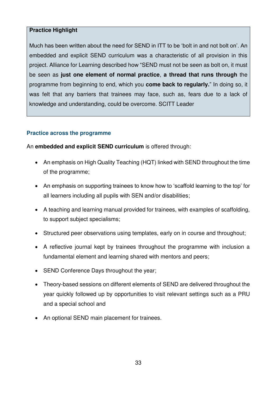#### **Practice Highlight**

Much has been written about the need for SEND in ITT to be 'bolt in and not bolt on'. An embedded and explicit SEND curriculum was a characteristic of all provision in this project. Alliance for Learning described how "SEND must not be seen as bolt on, it must be seen as **just one element of normal practice**, **a thread that runs through** the programme from beginning to end, which you **come back to regularly.**" In doing so, it was felt that any barriers that trainees may face, such as, fears due to a lack of knowledge and understanding, could be overcome. SCITT Leader

#### **Practice across the programme**

An **embedded and explicit SEND curriculum** is offered through:

- An emphasis on High Quality Teaching (HQT) linked with SEND throughout the time of the programme;
- An emphasis on supporting trainees to know how to 'scaffold learning to the top' for all learners including all pupils with SEN and/or disabilities;
- A teaching and learning manual provided for trainees, with examples of scaffolding, to support subject specialisms;
- Structured peer observations using templates, early on in course and throughout;
- A reflective journal kept by trainees throughout the programme with inclusion a fundamental element and learning shared with mentors and peers;
- SEND Conference Days throughout the year;
- Theory-based sessions on different elements of SEND are delivered throughout the year quickly followed up by opportunities to visit relevant settings such as a PRU and a special school and
- An optional SEND main placement for trainees.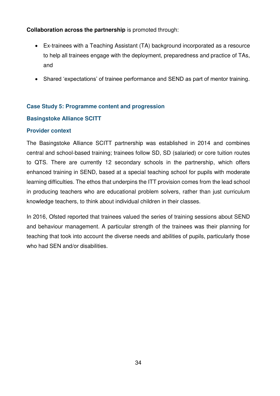#### **Collaboration across the partnership** is promoted through:

- Ex-trainees with a Teaching Assistant (TA) background incorporated as a resource to help all trainees engage with the deployment, preparedness and practice of TAs, and
- Shared 'expectations' of trainee performance and SEND as part of mentor training.

#### **Case Study 5: Programme content and progression**

#### **Basingstoke Alliance SCITT**

#### **Provider context**

The Basingstoke Alliance SCITT partnership was established in 2014 and combines central and school-based training; trainees follow SD, SD (salaried) or core tuition routes to QTS. There are currently 12 secondary schools in the partnership, which offers enhanced training in SEND, based at a special teaching school for pupils with moderate learning difficulties. The ethos that underpins the ITT provision comes from the lead school in producing teachers who are educational problem solvers, rather than just curriculum knowledge teachers, to think about individual children in their classes.

In 2016, Ofsted reported that trainees valued the series of training sessions about SEND and behaviour management. A particular strength of the trainees was their planning for teaching that took into account the diverse needs and abilities of pupils, particularly those who had SEN and/or disabilities.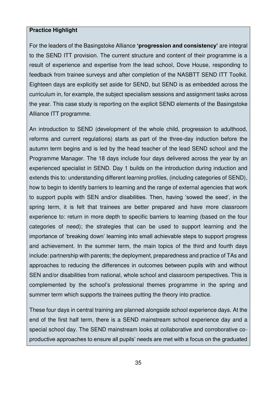#### **Practice Highlight**

For the leaders of the Basingstoke Alliance **'progression and consistency'** are integral to the SEND ITT provision. The current structure and content of their programme is a result of experience and expertise from the lead school, Dove House, responding to feedback from trainee surveys and after completion of the NASBTT SEND ITT Toolkit. Eighteen days are explicitly set aside for SEND, but SEND is as embedded across the curriculum in, for example, the subject specialism sessions and assignment tasks across the year. This case study is reporting on the explicit SEND elements of the Basingstoke Alliance ITT programme.

An introduction to SEND (development of the whole child, progression to adulthood, reforms and current regulations) starts as part of the three-day induction before the autumn term begins and is led by the head teacher of the lead SEND school and the Programme Manager. The 18 days include four days delivered across the year by an experienced specialist in SEND. Day 1 builds on the introduction during induction and extends this to: understanding different learning profiles, (including categories of SEND), how to begin to identify barriers to learning and the range of external agencies that work to support pupils with SEN and/or disabilities. Then, having 'sowed the seed', in the spring term, it is felt that trainees are better prepared and have more classroom experience to: return in more depth to specific barriers to learning (based on the four categories of need); the strategies that can be used to support learning and the importance of 'breaking down' learning into small achievable steps to support progress and achievement. In the summer term, the main topics of the third and fourth days include: partnership with parents; the deployment, preparedness and practice of TAs and approaches to reducing the differences in outcomes between pupils with and without SEN and/or disabilities from national, whole school and classroom perspectives. This is complemented by the school's professional themes programme in the spring and summer term which supports the trainees putting the theory into practice.

These four days in central training are planned alongside school experience days. At the end of the first half term, there is a SEND mainstream school experience day and a special school day. The SEND mainstream looks at collaborative and corroborative coproductive approaches to ensure all pupils' needs are met with a focus on the graduated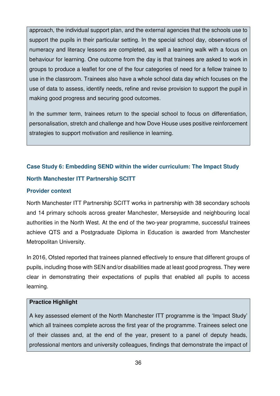approach, the individual support plan, and the external agencies that the schools use to support the pupils in their particular setting. In the special school day, observations of numeracy and literacy lessons are completed, as well a learning walk with a focus on behaviour for learning. One outcome from the day is that trainees are asked to work in groups to produce a leaflet for one of the four categories of need for a fellow trainee to use in the classroom. Trainees also have a whole school data day which focuses on the use of data to assess, identify needs, refine and revise provision to support the pupil in making good progress and securing good outcomes.

In the summer term, trainees return to the special school to focus on differentiation, personalisation, stretch and challenge and how Dove House uses positive reinforcement strategies to support motivation and resilience in learning*.* 

### **Case Study 6: Embedding SEND within the wider curriculum: The Impact Study North Manchester ITT Partnership SCITT**

#### **Provider context**

North Manchester ITT Partnership SCITT works in partnership with 38 secondary schools and 14 primary schools across greater Manchester, Merseyside and neighbouring local authorities in the North West. At the end of the two-year programme, successful trainees achieve QTS and a Postgraduate Diploma in Education is awarded from Manchester Metropolitan University.

In 2016, Ofsted reported that trainees planned effectively to ensure that different groups of pupils, including those with SEN and/or disabilities made at least good progress. They were clear in demonstrating their expectations of pupils that enabled all pupils to access learning.

#### **Practice Highlight**

A key assessed element of the North Manchester ITT programme is the 'Impact Study' which all trainees complete across the first year of the programme. Trainees select one of their classes and, at the end of the year, present to a panel of deputy heads, professional mentors and university colleagues, findings that demonstrate the impact of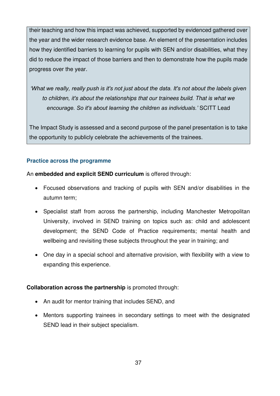their teaching and how this impact was achieved, supported by evidenced gathered over the year and the wider research evidence base. An element of the presentation includes how they identified barriers to learning for pupils with SEN and/or disabilities, what they did to reduce the impact of those barriers and then to demonstrate how the pupils made progress over the year.

*'What we really, really push is it's not just about the data. It's not about the labels given to children, it's about the relationships that our trainees build. That is what we encourage. So it's about learning the children as individuals.'* SCITT Lead

The Impact Study is assessed and a second purpose of the panel presentation is to take the opportunity to publicly celebrate the achievements of the trainees.

# **Practice across the programme**

An **embedded and explicit SEND curriculum** is offered through:

- Focused observations and tracking of pupils with SEN and/or disabilities in the autumn term;
- Specialist staff from across the partnership, including Manchester Metropolitan University, involved in SEND training on topics such as: child and adolescent development; the SEND Code of Practice requirements; mental health and wellbeing and revisiting these subjects throughout the year in training; and
- One day in a special school and alternative provision, with flexibility with a view to expanding this experience.

# **Collaboration across the partnership** is promoted through:

- An audit for mentor training that includes SEND, and
- Mentors supporting trainees in secondary settings to meet with the designated SEND lead in their subject specialism.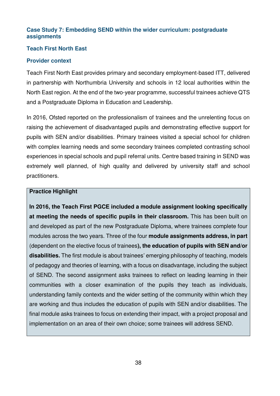# **Case Study 7: Embedding SEND within the wider curriculum: postgraduate assignments**

#### **Teach First North East**

#### **Provider context**

Teach First North East provides primary and secondary employment-based ITT, delivered in partnership with Northumbria University and schools in 12 local authorities within the North East region. At the end of the two-year programme, successful trainees achieve QTS and a Postgraduate Diploma in Education and Leadership.

In 2016, Ofsted reported on the professionalism of trainees and the unrelenting focus on raising the achievement of disadvantaged pupils and demonstrating effective support for pupils with SEN and/or disabilities. Primary trainees visited a special school for children with complex learning needs and some secondary trainees completed contrasting school experiences in special schools and pupil referral units. Centre based training in SEND was extremely well planned, of high quality and delivered by university staff and school practitioners.

#### **Practice Highlight**

**In 2016, the Teach First PGCE included a module assignment looking specifically at meeting the needs of specific pupils in their classroom.** This has been built on and developed as part of the new Postgraduate Diploma, where trainees complete four modules across the two years. Three of the four **module assignments address, in part**  (dependent on the elective focus of trainees**), the education of pupils with SEN and/or disabilities.** The first module is about trainees' emerging philosophy of teaching, models of pedagogy and theories of learning, with a focus on disadvantage, including the subject of SEND. The second assignment asks trainees to reflect on leading learning in their communities with a closer examination of the pupils they teach as individuals, understanding family contexts and the wider setting of the community within which they are working and thus includes the education of pupils with SEN and/or disabilities. The final module asks trainees to focus on extending their impact, with a project proposal and implementation on an area of their own choice; some trainees will address SEND.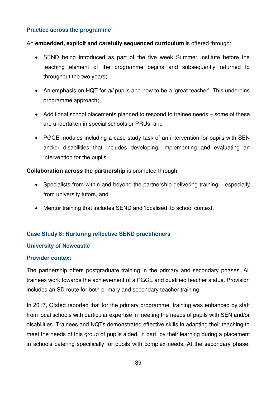#### **Practice across the programme**

An **embedded, explicit and carefully sequenced curriculum** is offered through:

- SEND being introduced as part of the five week Summer Institute before the teaching element of the programme begins and subsequently returned to throughout the two years;
- An emphasis on HQT for *all* pupils and how to be a 'great teacher'. This underpins programme approach;
- Additional school placements planned to respond to trainee needs some of these are undertaken in special schools or PRUs; and
- PGCE modules including a case study task of an intervention for pupils with SEN and/or disabilities that includes developing, implementing and evaluating an intervention for the pupils.

#### **Collaboration across the partnership** is promoted through:

- Specialists from within and beyond the partnership delivering training especially from university tutors, and
- Mentor training that includes SEND and 'localised' to school context.

# **Case Study 8: Nurturing reflective SEND practitioners**

#### **University of Newcastle**

#### **Provider context**

The partnership offers postgraduate training in the primary and secondary phases. All trainees work towards the achievement of a PGCE and qualified teacher status. Provision includes an SD route for both primary and secondary teacher training.

In 2017, Ofsted reported that for the primary programme, training was enhanced by staff from local schools with particular expertise in meeting the needs of pupils with SEN and/or disabilities. Trainees and NQTs demonstrated effective skills in adapting their teaching to meet the needs of this group of pupils aided, in part, by their learning during a placement in schools catering specifically for pupils with complex needs. At the secondary phase,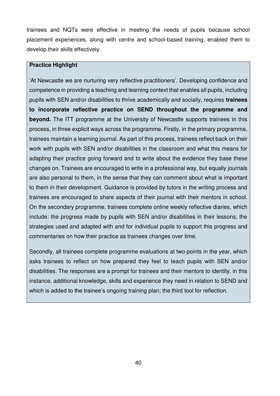trainees and NQTs were effective in meeting the needs of pupils because school placement experiences, along with centre and school-based training, enabled them to develop their skills effectively.

#### **Practice Highlight**

'At Newcastle we are nurturing very reflective practitioners'. Developing confidence and competence in providing a teaching and learning context that enables all pupils, including pupils with SEN and/or disabilities to thrive academically and socially, requires **trainees to incorporate reflective practice on SEND throughout the programme and beyond.** The ITT programme at the University of Newcastle supports trainees in this process, in three explicit ways across the programme. Firstly, in the primary programme, trainees maintain a learning journal. As part of this process, trainees reflect back on their work with pupils with SEN and/or disabilities in the classroom and what this means for adapting their practice going forward and to write about the evidence they base these changes on. Trainees are encouraged to write in a professional way, but equally journals are also personal to them, in the sense that they can comment about what is important to them in their development. Guidance is provided by tutors in the writing process and trainees are encouraged to share aspects of their journal with their mentors in school. On the secondary programme, trainees complete online weekly reflective diaries, which include: the progress made by pupils with SEN and/or disabilities in their lessons; the strategies used and adapted with and for individual pupils to support this progress and commentaries on how their practice as trainees changes over time.

Secondly, all trainees complete programme evaluations at two points in the year, which asks trainees to reflect on how prepared they feel to teach pupils with SEN and/or disabilities. The responses are a prompt for trainees and their mentors to identity, in this instance, additional knowledge, skills and experience they need in relation to SEND and which is added to the trainee's ongoing training plan; the third tool for reflection.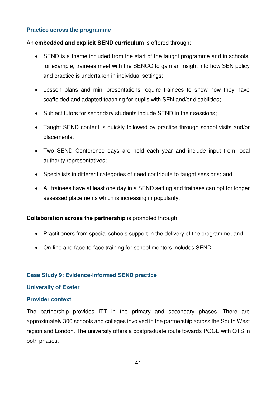#### **Practice across the programme**

An **embedded and explicit SEND curriculum** is offered through:

- SEND is a theme included from the start of the taught programme and in schools, for example, trainees meet with the SENCO to gain an insight into how SEN policy and practice is undertaken in individual settings;
- Lesson plans and mini presentations require trainees to show how they have scaffolded and adapted teaching for pupils with SEN and/or disabilities;
- Subject tutors for secondary students include SEND in their sessions;
- Taught SEND content is quickly followed by practice through school visits and/or placements;
- Two SEND Conference days are held each year and include input from local authority representatives;
- Specialists in different categories of need contribute to taught sessions; and
- All trainees have at least one day in a SEND setting and trainees can opt for longer assessed placements which is increasing in popularity.

# **Collaboration across the partnership** is promoted through:

- Practitioners from special schools support in the delivery of the programme, and
- On-line and face-to-face training for school mentors includes SEND.

# **Case Study 9: Evidence-informed SEND practice**

#### **University of Exeter**

#### **Provider context**

The partnership provides ITT in the primary and secondary phases. There are approximately 300 schools and colleges involved in the partnership across the South West region and London. The university offers a postgraduate route towards PGCE with QTS in both phases.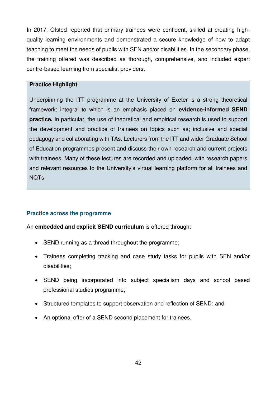In 2017, Ofsted reported that primary trainees were confident, skilled at creating highquality learning environments and demonstrated a secure knowledge of how to adapt teaching to meet the needs of pupils with SEN and/or disabilities. In the secondary phase, the training offered was described as thorough, comprehensive, and included expert centre-based learning from specialist providers.

#### **Practice Highlight**

Underpinning the ITT programme at the University of Exeter is a strong theoretical framework; integral to which is an emphasis placed on **evidence-informed SEND practice.** In particular, the use of theoretical and empirical research is used to support the development and practice of trainees on topics such as; inclusive and special pedagogy and collaborating with TAs. Lecturers from the ITT and wider Graduate School of Education programmes present and discuss their own research and current projects with trainees. Many of these lectures are recorded and uploaded, with research papers and relevant resources to the University's virtual learning platform for all trainees and NQTs.

#### **Practice across the programme**

#### An **embedded and explicit SEND curriculum** is offered through:

- SEND running as a thread throughout the programme;
- Trainees completing tracking and case study tasks for pupils with SEN and/or disabilities;
- SEND being incorporated into subject specialism days and school based professional studies programme;
- Structured templates to support observation and reflection of SEND; and
- An optional offer of a SEND second placement for trainees.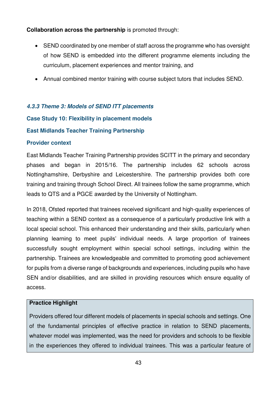# **Collaboration across the partnership** is promoted through:

- SEND coordinated by one member of staff across the programme who has oversight of how SEND is embedded into the different programme elements including the curriculum, placement experiences and mentor training, and
- Annual combined mentor training with course subject tutors that includes SEND.

# *4.3.3 Theme 3: Models of SEND ITT placements*

# **Case Study 10: Flexibility in placement models**

# **East Midlands Teacher Training Partnership**

#### **Provider context**

East Midlands Teacher Training Partnership provides SCITT in the primary and secondary phases and began in 2015/16. The partnership includes 62 schools across Nottinghamshire, Derbyshire and Leicestershire. The partnership provides both core training and training through School Direct. All trainees follow the same programme, which leads to QTS and a PGCE awarded by the University of Nottingham.

In 2018, Ofsted reported that trainees received significant and high-quality experiences of teaching within a SEND context as a consequence of a particularly productive link with a local special school. This enhanced their understanding and their skills, particularly when planning learning to meet pupils' individual needs. A large proportion of trainees successfully sought employment within special school settings, including within the partnership. Trainees are knowledgeable and committed to promoting good achievement for pupils from a diverse range of backgrounds and experiences, including pupils who have SEN and/or disabilities, and are skilled in providing resources which ensure equality of access.

# **Practice Highlight**

Providers offered four different models of placements in special schools and settings. One of the fundamental principles of effective practice in relation to SEND placements, whatever model was implemented, was the need for providers and schools to be flexible in the experiences they offered to individual trainees. This was a particular feature of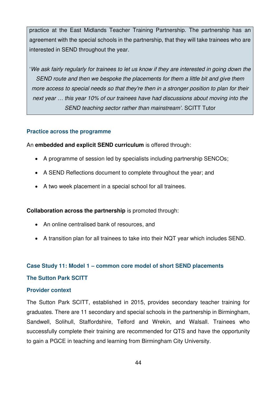practice at the East Midlands Teacher Training Partnership. The partnership has an agreement with the special schools in the partnership, that they will take trainees who are interested in SEND throughout the year.

'*We ask fairly regularly for trainees to let us know if they are interested in going down the SEND route and then we bespoke the placements for them a little bit and give them more access to special needs so that they're then in a stronger position to plan for their next year … this year 10% of our trainees have had discussions about moving into the SEND teaching sector rather than mainstream'.* SCITT Tutor

#### **Practice across the programme**

An **embedded and explicit SEND curriculum** is offered through:

- A programme of session led by specialists including partnership SENCOs;
- A SEND Reflections document to complete throughout the year; and
- A two week placement in a special school for all trainees.

# **Collaboration across the partnership** is promoted through:

- An online centralised bank of resources, and
- A transition plan for all trainees to take into their NQT year which includes SEND.

# **Case Study 11: Model 1 – common core model of short SEND placements**

#### **The Sutton Park SCITT**

#### **Provider context**

The Sutton Park SCITT, established in 2015, provides secondary teacher training for graduates. There are 11 secondary and special schools in the partnership in Birmingham, Sandwell, Solihull, Staffordshire, Telford and Wrekin, and Walsall. Trainees who successfully complete their training are recommended for QTS and have the opportunity to gain a PGCE in teaching and learning from Birmingham City University.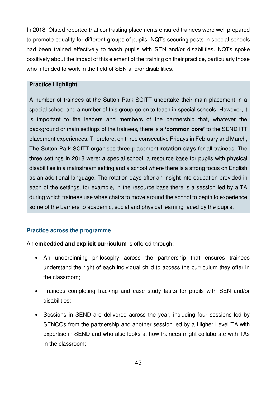In 2018, Ofsted reported that contrasting placements ensured trainees were well prepared to promote equality for different groups of pupils. NQTs securing posts in special schools had been trained effectively to teach pupils with SEN and/or disabilities. NQTs spoke positively about the impact of this element of the training on their practice, particularly those who intended to work in the field of SEN and/or disabilities.

#### **Practice Highlight**

A number of trainees at the Sutton Park SCITT undertake their main placement in a special school and a number of this group go on to teach in special schools. However, it is important to the leaders and members of the partnership that, whatever the background or main settings of the trainees, there is a **'common core'** to the SEND ITT placement experiences. Therefore, on three consecutive Fridays in February and March, The Sutton Park SCITT organises three placement **rotation days** for all trainees. The three settings in 2018 were: a special school; a resource base for pupils with physical disabilities in a mainstream setting and a school where there is a strong focus on English as an additional language. The rotation days offer an insight into education provided in each of the settings, for example, in the resource base there is a session led by a TA during which trainees use wheelchairs to move around the school to begin to experience some of the barriers to academic, social and physical learning faced by the pupils.

# **Practice across the programme**

An **embedded and explicit curriculum** is offered through:

- An underpinning philosophy across the partnership that ensures trainees understand the right of each individual child to access the curriculum they offer in the classroom;
- Trainees completing tracking and case study tasks for pupils with SEN and/or disabilities;
- Sessions in SEND are delivered across the year, including four sessions led by SENCOs from the partnership and another session led by a Higher Level TA with expertise in SEND and who also looks at how trainees might collaborate with TAs in the classroom;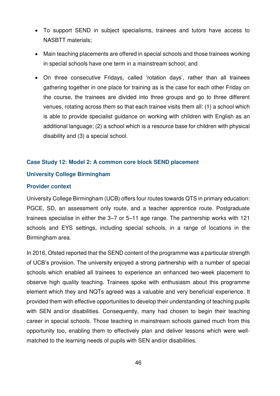- To support SEND in subject specialisms, trainees and tutors have access to NASBTT materials;
- Main teaching placements are offered in special schools and those trainees working in special schools have one term in a mainstream school; and
- On three consecutive Fridays, called 'rotation days', rather than all trainees gathering together in one place for training as is the case for each other Friday on the course, the trainees are divided into three groups and go to three different venues, rotating across them so that each trainee visits them all: (1) a school which is able to provide specialist guidance on working with children with English as an additional language; (2) a school which is a resource base for children with physical disability and (3) a special school.

#### **Case Study 12: Model 2: A common core block SEND placement**

#### **University College Birmingham**

#### **Provider context**

University College Birmingham (UCB) offers four routes towards QTS in primary education: PGCE, SD, an assessment only route, and a teacher apprentice route. Postgraduate trainees specialise in either the 3–7 or 5–11 age range. The partnership works with 121 schools and EYS settings, including special schools, in a range of locations in the Birmingham area.

In 2016, Ofsted reported that the SEND content of the programme was a particular strength of UCB's provision. The university enjoyed a strong partnership with a number of special schools which enabled all trainees to experience an enhanced two-week placement to observe high quality teaching. Trainees spoke with enthusiasm about this programme element which they and NQTs agreed was a valuable and very beneficial experience. It provided them with effective opportunities to develop their understanding of teaching pupils with SEN and/or disabilities. Consequently, many had chosen to begin their teaching career in special schools. Those teaching in mainstream schools gained much from this opportunity too, enabling them to effectively plan and deliver lessons which were wellmatched to the learning needs of pupils with SEN and/or disabilities.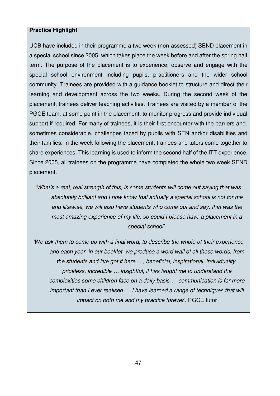#### **Practice Highlight**

UCB have included in their programme a two week (non-assessed) SEND placement in a special school since 2005, which takes place the week before and after the spring half term. The purpose of the placement is to experience, observe and engage with the special school environment including pupils, practitioners and the wider school community. Trainees are provided with a guidance booklet to structure and direct their learning and development across the two weeks. During the second week of the placement, trainees deliver teaching activities. Trainees are visited by a member of the PGCE team, at some point in the placement, to monitor progress and provide individual support if required. For many of trainees, it is their first encounter with the barriers and, sometimes considerable, challenges faced by pupils with SEN and/or disabilities and their families. In the week following the placement, trainees and tutors come together to share experiences. This learning is used to inform the second half of the ITT experience. Since 2005, all trainees on the programme have completed the whole two week SEND placement.

'*What's a real, real strength of this, is some students will come out saying that was absolutely brilliant and I now know that actually a special school is not for me and likewise, we will also have students who come out and say, that was the most amazing experience of my life, so could I please have a placement in a special school'.* 

*'We ask them to come up with a final word, to describe the whole of their experience and each year, in our booklet, we produce a word wall of all these words, from the students and I've got it here …, beneficial, inspirational, individuality, priceless, incredible … insightful, it has taught me to understand the complexities some children face on a daily basis … communication is far more important than I ever realised … I have learned a range of techniques that will impact on both me and my practice forever'*. PGCE tutor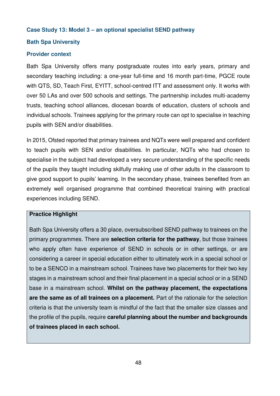#### **Case Study 13: Model 3 – an optional specialist SEND pathway**

# **Bath Spa University**

#### **Provider context**

Bath Spa University offers many postgraduate routes into early years, primary and secondary teaching including: a one-year full-time and 16 month part-time, PGCE route with QTS, SD, Teach First, EYITT, school-centred ITT and assessment only. It works with over 50 LAs and over 500 schools and settings. The partnership includes multi-academy trusts, teaching school alliances, diocesan boards of education, clusters of schools and individual schools. Trainees applying for the primary route can opt to specialise in teaching pupils with SEN and/or disabilities.

In 2015, Ofsted reported that primary trainees and NQTs were well prepared and confident to teach pupils with SEN and/or disabilities. In particular, NQTs who had chosen to specialise in the subject had developed a very secure understanding of the specific needs of the pupils they taught including skilfully making use of other adults in the classroom to give good support to pupils' learning. In the secondary phase, trainees benefited from an extremely well organised programme that combined theoretical training with practical experiences including SEND.

#### **Practice Highlight**

Bath Spa University offers a 30 place, oversubscribed SEND pathway to trainees on the primary programmes. There are **selection criteria for the pathway**, but those trainees who apply often have experience of SEND in schools or in other settings, or are considering a career in special education either to ultimately work in a special school or to be a SENCO in a mainstream school. Trainees have two placements for their two key stages in a mainstream school and their final placement in a special school or in a SEND base in a mainstream school. **Whilst on the pathway placement, the expectations are the same as of all trainees on a placement.** Part of the rationale for the selection criteria is that the university team is mindful of the fact that the smaller size classes and the profile of the pupils, require **careful planning about the number and backgrounds of trainees placed in each school.**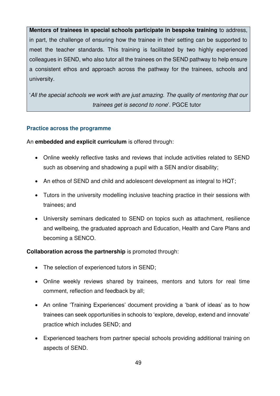**Mentors of trainees in special schools participate in bespoke training** to address, in part, the challenge of ensuring how the trainee in their setting can be supported to meet the teacher standards. This training is facilitated by two highly experienced colleagues in SEND, who also tutor all the trainees on the SEND pathway to help ensure a consistent ethos and approach across the pathway for the trainees, schools and university.

'*All the special schools we work with are just amazing. The quality of mentoring that our trainees get is second to none*'. PGCE tutor

#### **Practice across the programme**

An **embedded and explicit curriculum** is offered through:

- Online weekly reflective tasks and reviews that include activities related to SEND such as observing and shadowing a pupil with a SEN and/or disability;
- An ethos of SEND and child and adolescent development as integral to HQT;
- Tutors in the university modelling inclusive teaching practice in their sessions with trainees; and
- University seminars dedicated to SEND on topics such as attachment, resilience and wellbeing, the graduated approach and Education, Health and Care Plans and becoming a SENCO.

# **Collaboration across the partnership** is promoted through:

- The selection of experienced tutors in SEND;
- Online weekly reviews shared by trainees, mentors and tutors for real time comment, reflection and feedback by all;
- An online 'Training Experiences' document providing a 'bank of ideas' as to how trainees can seek opportunities in schools to 'explore, develop, extend and innovate' practice which includes SEND; and
- Experienced teachers from partner special schools providing additional training on aspects of SEND.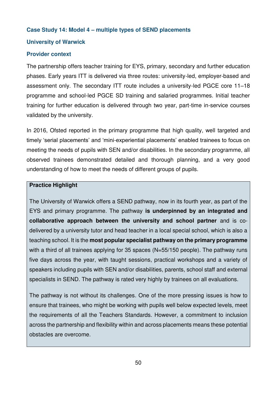#### **Case Study 14: Model 4 – multiple types of SEND placements**

#### **University of Warwick**

#### **Provider context**

The partnership offers teacher training for EYS, primary, secondary and further education phases. Early years ITT is delivered via three routes: university-led, employer-based and assessment only. The secondary ITT route includes a university-led PGCE core 11–18 programme and school-led PGCE SD training and salaried programmes. Initial teacher training for further education is delivered through two year, part-time in-service courses validated by the university.

In 2016, Ofsted reported in the primary programme that high quality, well targeted and timely 'serial placements' and 'mini-experiential placements' enabled trainees to focus on meeting the needs of pupils with SEN and/or disabilities. In the secondary programme, all observed trainees demonstrated detailed and thorough planning, and a very good understanding of how to meet the needs of different groups of pupils.

#### **Practice Highlight**

The University of Warwick offers a SEND pathway, now in its fourth year, as part of the EYS and primary programme. The pathway **is underpinned by an integrated and collaborative approach between the university and school partner** and is codelivered by a university tutor and head teacher in a local special school, which is also a teaching school. It is the **most popular specialist pathway on the primary programme** with a third of all trainees applying for 35 spaces (N=55/150 people). The pathway runs five days across the year, with taught sessions, practical workshops and a variety of speakers including pupils with SEN and/or disabilities, parents, school staff and external specialists in SEND. The pathway is rated very highly by trainees on all evaluations.

The pathway is not without its challenges. One of the more pressing issues is how to ensure that trainees, who might be working with pupils well below expected levels, meet the requirements of all the Teachers Standards. However, a commitment to inclusion across the partnership and flexibility within and across placements means these potential obstacles are overcome.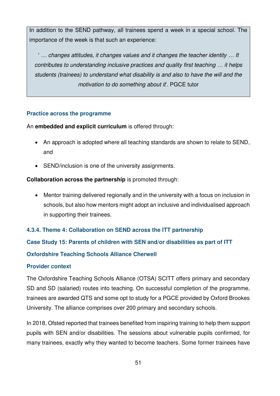In addition to the SEND pathway, all trainees spend a week in a special school. The importance of the week is that such an experience:

' *… changes attitudes, it changes values and it changes the teacher identity … It contributes to understanding inclusive practices and quality first teaching … it helps students (trainees) to understand what disability is and also to have the will and the motivation to do something about it*'. PGCE tutor

# **Practice across the programme**

An **embedded and explicit curriculum** is offered through:

- An approach is adopted where all teaching standards are shown to relate to SEND, and
- SEND/inclusion is one of the university assignments.

# **Collaboration across the partnership** is promoted through:

 Mentor training delivered regionally and in the university with a focus on inclusion in schools, but also how mentors might adopt an inclusive and individualised approach in supporting their trainees.

# **4.3.4. Theme 4: Collaboration on SEND across the ITT partnership**

**Case Study 15: Parents of children with SEN and/or disabilities as part of ITT** 

# **Oxfordshire Teaching Schools Alliance Cherwell**

# **Provider context**

The Oxfordshire Teaching Schools Alliance (OTSA) SCITT offers primary and secondary SD and SD (salaried) routes into teaching. On successful completion of the programme, trainees are awarded QTS and some opt to study for a PGCE provided by Oxford Brookes University. The alliance comprises over 200 primary and secondary schools.

In 2018, Ofsted reported that trainees benefited from inspiring training to help them support pupils with SEN and/or disabilities. The sessions about vulnerable pupils confirmed, for many trainees, exactly why they wanted to become teachers. Some former trainees have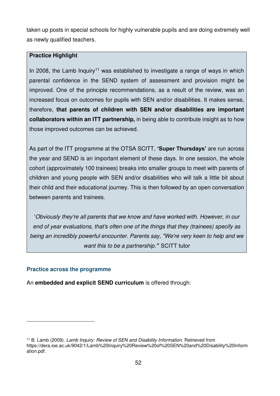taken up posts in special schools for highly vulnerable pupils and are doing extremely well as newly qualified teachers.

# **Practice Highlight**

In 2008, the Lamb Inquiry<sup>11</sup> was established to investigate a range of ways in which parental confidence in the SEND system of assessment and provision might be improved. One of the principle recommendations, as a result of the review, was an increased focus on outcomes for pupils with SEN and/or disabilities. It makes sense, therefore, **that parents of children with SEN and/or disabilities are important collaborators within an ITT partnership,** in being able to contribute insight as to how those improved outcomes can be achieved.

As part of the ITT programme at the OTSA SCITT, **'Super Thursdays'** are run across the year and SEND is an important element of these days. In one session, the whole cohort (approximately 100 trainees) breaks into smaller groups to meet with parents of children and young people with SEN and/or disabilities who will talk a little bit about their child and their educational journey. This is then followed by an open conversation between parents and trainees.

'*Obviously they're all parents that we know and have worked with. However, in our end of year evaluations, that's often one of the things that they (trainees) specify as being an incredibly powerful encounter. Parents say, "We're very keen to help and we want this to be a partnership."*' SCITT tutor

#### **Practice across the programme**

<u>.</u>

An **embedded and explicit SEND curriculum** is offered through:

<sup>11</sup> B. Lamb (2009). *Lamb Inquiry: Review of SEN and Disability Information*. Retrieved from https://dera.ioe.ac.uk/9042/1/Lamb%20Inquiry%20Review%20of%20SEN%20and%20Disability%20Inform ation.pdf.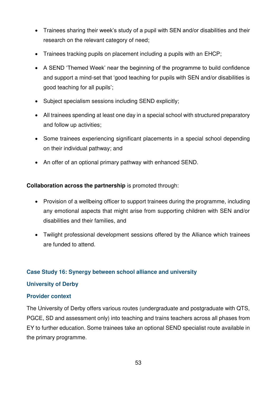- Trainees sharing their week's study of a pupil with SEN and/or disabilities and their research on the relevant category of need;
- Trainees tracking pupils on placement including a pupils with an EHCP;
- A SEND 'Themed Week' near the beginning of the programme to build confidence and support a mind-set that 'good teaching for pupils with SEN and/or disabilities is good teaching for all pupils';
- Subject specialism sessions including SEND explicitly;
- All trainees spending at least one day in a special school with structured preparatory and follow up activities;
- Some trainees experiencing significant placements in a special school depending on their individual pathway; and
- An offer of an optional primary pathway with enhanced SEND.

# **Collaboration across the partnership** is promoted through:

- Provision of a wellbeing officer to support trainees during the programme, including any emotional aspects that might arise from supporting children with SEN and/or disabilities and their families, and
- Twilight professional development sessions offered by the Alliance which trainees are funded to attend.

# **Case Study 16: Synergy between school alliance and university**

#### **University of Derby**

# **Provider context**

The University of Derby offers various routes (undergraduate and postgraduate with QTS, PGCE, SD and assessment only) into teaching and trains teachers across all phases from EY to further education. Some trainees take an optional SEND specialist route available in the primary programme.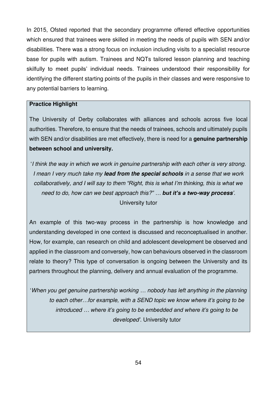In 2015, Ofsted reported that the secondary programme offered effective opportunities which ensured that trainees were skilled in meeting the needs of pupils with SEN and/or disabilities. There was a strong focus on inclusion including visits to a specialist resource base for pupils with autism. Trainees and NQTs tailored lesson planning and teaching skilfully to meet pupils' individual needs. Trainees understood their responsibility for identifying the different starting points of the pupils in their classes and were responsive to any potential barriers to learning.

#### **Practice Highlight**

The University of Derby collaborates with alliances and schools across five local authorities. Therefore, to ensure that the needs of trainees, schools and ultimately pupils with SEN and/or disabilities are met effectively, there is need for a **genuine partnership between school and university.**

'*I think the way in which we work in genuine partnership with each other is very strong. I mean I very much take my lead from the special schools in a sense that we work collaboratively, and I will say to them "Right, this is what I'm thinking, this is what we need to do, how can we best approach this?" … but it's a two-way process'*. University tutor

An example of this two-way process in the partnership is how knowledge and understanding developed in one context is discussed and reconceptualised in another. How, for example, can research on child and adolescent development be observed and applied in the classroom and conversely, how can behaviours observed in the classroom relate to theory? This type of conversation is ongoing between the University and its partners throughout the planning, delivery and annual evaluation of the programme.

'*When you get genuine partnership working … nobody has left anything in the planning to each other…for example, with a SEND topic we know where it's going to be introduced … where it's going to be embedded and where it's going to be developed'*. University tutor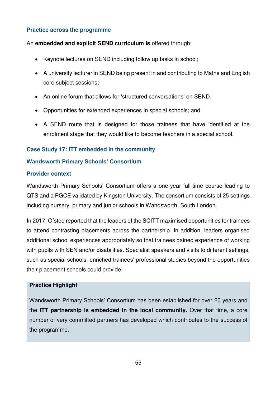# **Practice across the programme**

#### An **embedded and explicit SEND curriculum is** offered through:

- Keynote lectures on SEND including follow up tasks in school;
- A university lecturer in SEND being present in and contributing to Maths and English core subject sessions;
- An online forum that allows for 'structured conversations' on SEND;
- Opportunities for extended experiences in special schools; and
- A SEND route that is designed for those trainees that have identified at the enrolment stage that they would like to become teachers in a special school.

# **Case Study 17: ITT embedded in the community**

# **Wandsworth Primary Schools' Consortium**

#### **Provider context**

Wandsworth Primary Schools' Consortium offers a one-year full-time course leading to QTS and a PGCE validated by Kingston University. The consortium consists of 25 settings including nursery, primary and junior schools in Wandsworth, South London.

In 2017, Ofsted reported that the leaders of the SCITT maximised opportunities for trainees to attend contrasting placements across the partnership. In addition, leaders organised additional school experiences appropriately so that trainees gained experience of working with pupils with SEN and/or disabilities. Specialist speakers and visits to different settings, such as special schools, enriched trainees' professional studies beyond the opportunities their placement schools could provide.

#### **Practice Highlight**

Wandsworth Primary Schools' Consortium has been established for over 20 years and the **ITT partnership is embedded in the local community.** Over that time, a core number of very committed partners has developed which contributes to the success of the programme.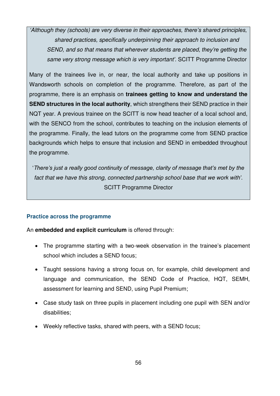*'Although they (schools) are very diverse in their approaches, there's shared principles, shared practices, specifically underpinning their approach to inclusion and SEND, and so that means that wherever students are placed, they're getting the same very strong message which is very important'*. SCITT Programme Director

Many of the trainees live in, or near, the local authority and take up positions in Wandsworth schools on completion of the programme. Therefore, as part of the programme, there is an emphasis on **trainees getting to know and understand the SEND structures in the local authority**, which strengthens their SEND practice in their NQT year. A previous trainee on the SCITT is now head teacher of a local school and, with the SENCO from the school, contributes to teaching on the inclusion elements of the programme. Finally, the lead tutors on the programme come from SEND practice backgrounds which helps to ensure that inclusion and SEND in embedded throughout the programme.

'*There's just a really good continuity of message, clarity of message that's met by the fact that we have this strong, connected partnership school base that we work with'*. SCITT Programme Director

# **Practice across the programme**

An **embedded and explicit curriculum** is offered through:

- The programme starting with a two-week observation in the trainee's placement school which includes a SEND focus;
- Taught sessions having a strong focus on, for example, child development and language and communication, the SEND Code of Practice, HQT, SEMH, assessment for learning and SEND, using Pupil Premium;
- Case study task on three pupils in placement including one pupil with SEN and/or disabilities;
- Weekly reflective tasks, shared with peers, with a SEND focus;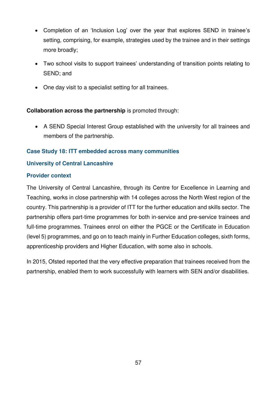- Completion of an 'Inclusion Log' over the year that explores SEND in trainee's setting, comprising, for example, strategies used by the trainee and in their settings more broadly;
- Two school visits to support trainees' understanding of transition points relating to SEND; and
- One day visit to a specialist setting for all trainees.

# **Collaboration across the partnership** is promoted through:

 A SEND Special Interest Group established with the university for all trainees and members of the partnership.

# **Case Study 18: ITT embedded across many communities**

# **University of Central Lancashire**

# **Provider context**

The University of Central Lancashire, through its Centre for Excellence in Learning and Teaching, works in close partnership with 14 colleges across the North West region of the country. This partnership is a provider of ITT for the further education and skills sector. The partnership offers part-time programmes for both in-service and pre-service trainees and full-time programmes. Trainees enrol on either the PGCE or the Certificate in Education (level 5) programmes, and go on to teach mainly in Further Education colleges, sixth forms, apprenticeship providers and Higher Education, with some also in schools.

In 2015, Ofsted reported that the very effective preparation that trainees received from the partnership, enabled them to work successfully with learners with SEN and/or disabilities.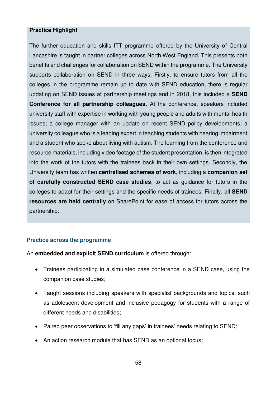#### **Practice Highlight**

The further education and skills ITT programme offered by the University of Central Lancashire is taught in partner colleges across North West England. This presents both benefits and challenges for collaboration on SEND within the programme. The University supports collaboration on SEND in three ways. Firstly, to ensure tutors from all the colleges in the programme remain up to date with SEND education, there is regular updating on SEND issues at partnership meetings and in 2018, this included a **SEND Conference for all partnership colleagues.** At the conference, speakers included university staff with expertise in working with young people and adults with mental health issues; a college manager with an update on recent SEND policy developments; a university colleague who is a leading expert in teaching students with hearing impairment and a student who spoke about living with autism. The learning from the conference and resource materials, including video footage of the student presentation, is then integrated into the work of the tutors with the trainees back in their own settings. Secondly, the University team has written **centralised schemes of work**, including a **companion set of carefully constructed SEND case studies**, to act as guidance for tutors in the colleges to adapt for their settings and the specific needs of trainees. Finally, all **SEND resources are held centrally** on SharePoint for ease of access for tutors across the partnership.

# **Practice across the programme**

An **embedded and explicit SEND curriculum** is offered through:

- Trainees participating in a simulated case conference in a SEND case, using the companion case studies;
- Taught sessions including speakers with specialist backgrounds and topics, such as adolescent development and inclusive pedagogy for students with a range of different needs and disabilities;
- Paired peer observations to 'fill any gaps' in trainees' needs relating to SEND;
- An action research module that has SEND as an optional focus;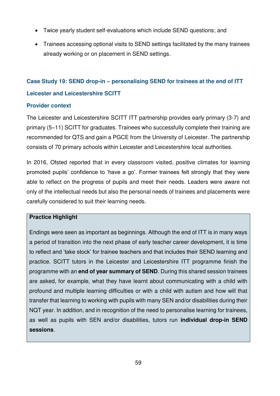- Twice yearly student self-evaluations which include SEND questions; and
- Trainees accessing optional visits to SEND settings facilitated by the many trainees already working or on placement in SEND settings.

# **Case Study 19: SEND drop-in – personalising SEND for trainees at the end of ITT**

# **Leicester and Leicestershire SCITT**

# **Provider context**

The Leicester and Leicestershire SCITT ITT partnership provides early primary (3-7) and primary (5–11) SCITT for graduates. Trainees who successfully complete their training are recommended for QTS and gain a PGCE from the University of Leicester. The partnership consists of 70 primary schools within Leicester and Leicestershire local authorities.

In 2016, Ofsted reported that in every classroom visited, positive climates for learning promoted pupils' confidence to 'have a go'. Former trainees felt strongly that they were able to reflect on the progress of pupils and meet their needs. Leaders were aware not only of the intellectual needs but also the personal needs of trainees and placements were carefully considered to suit their learning needs.

# **Practice Highlight**

Endings were seen as important as beginnings. Although the end of ITT is in many ways a period of transition into the next phase of early teacher career development, it is time to reflect and 'take stock' for trainee teachers and that includes their SEND learning and practice. SCITT tutors in the Leicester and Leicestershire ITT programme finish the programme with an **end of year summary of SEND**. During this shared session trainees are asked, for example, what they have learnt about communicating with a child with profound and multiple learning difficulties or with a child with autism and how will that transfer that learning to working with pupils with many SEN and/or disabilities during their NQT year. In addition, and in recognition of the need to personalise learning for trainees, as well as pupils with SEN and/or disabilities, tutors run **individual drop-in SEND sessions**.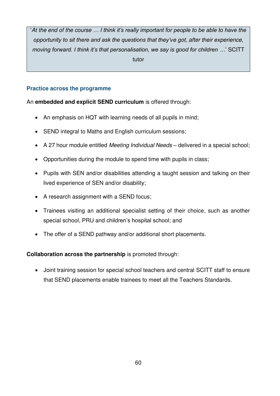'*At the end of the course … I think it's really important for people to be able to have the opportunity to sit there and ask the questions that they've got, after their experience, moving forward. I think it's that personalisation, we say is good for children …*' SCITT tutor

# **Practice across the programme**

# An **embedded and explicit SEND curriculum** is offered through:

- An emphasis on HQT with learning needs of all pupils in mind;
- SEND integral to Maths and English curriculum sessions:
- A 27 hour module entitled *Meeting Individual Needs* delivered in a special school;
- Opportunities during the module to spend time with pupils in class;
- Pupils with SEN and/or disabilities attending a taught session and talking on their lived experience of SEN and/or disability;
- A research assignment with a SEND focus;
- Trainees visiting an additional specialist setting of their choice, such as another special school, PRU and children's hospital school; and
- The offer of a SEND pathway and/or additional short placements.

# **Collaboration across the partnership** is promoted through:

 Joint training session for special school teachers and central SCITT staff to ensure that SEND placements enable trainees to meet all the Teachers Standards.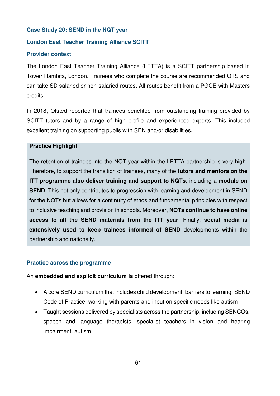#### **Case Study 20: SEND in the NQT year**

# **London East Teacher Training Alliance SCITT**

#### **Provider context**

The London East Teacher Training Alliance (LETTA) is a SCITT partnership based in Tower Hamlets, London. Trainees who complete the course are recommended QTS and can take SD salaried or non-salaried routes. All routes benefit from a PGCE with Masters credits.

In 2018, Ofsted reported that trainees benefited from outstanding training provided by SCITT tutors and by a range of high profile and experienced experts. This included excellent training on supporting pupils with SEN and/or disabilities.

#### **Practice Highlight**

The retention of trainees into the NQT year within the LETTA partnership is very high. Therefore, to support the transition of trainees, many of the **tutors and mentors on the ITT programme also deliver training and support to NQTs**, including a **module on SEND**. This not only contributes to progression with learning and development in SEND for the NQTs but allows for a continuity of ethos and fundamental principles with respect to inclusive teaching and provision in schools. Moreover, **NQTs continue to have online access to all the SEND materials from the ITT year**. Finally, **social media is extensively used to keep trainees informed of SEND** developments within the partnership and nationally.

#### **Practice across the programme**

An **embedded and explicit curriculum is** offered through:

- A core SEND curriculum that includes child development, barriers to learning, SEND Code of Practice, working with parents and input on specific needs like autism;
- Taught sessions delivered by specialists across the partnership, including SENCOs, speech and language therapists, specialist teachers in vision and hearing impairment, autism;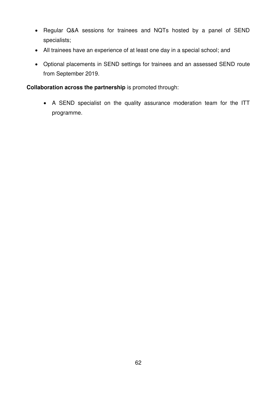- Regular Q&A sessions for trainees and NQTs hosted by a panel of SEND specialists;
- All trainees have an experience of at least one day in a special school; and
- Optional placements in SEND settings for trainees and an assessed SEND route from September 2019.

# **Collaboration across the partnership** is promoted through:

 A SEND specialist on the quality assurance moderation team for the ITT programme.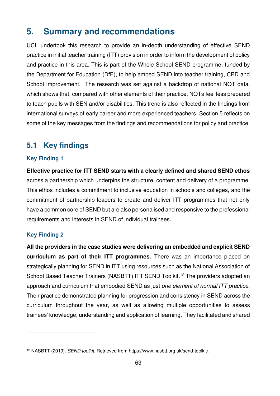# **5. Summary and recommendations**

UCL undertook this research to provide an in-depth understanding of effective SEND practice in initial teacher training (ITT) provision in order to inform the development of policy and practice in this area. This is part of the Whole School SEND programme, funded by the Department for Education (DfE), to help embed SEND into teacher training, CPD and School Improvement. The research was set against a backdrop of national NQT data, which shows that, compared with other elements of their practice, NQTs feel less prepared to teach pupils with SEN and/or disabilities. This trend is also reflected in the findings from international surveys of early career and more experienced teachers. Section 5 reflects on some of the key messages from the findings and recommendations for policy and practice.

# **5.1 Key findings**

# **Key Finding 1**

**Effective practice for ITT SEND starts with a clearly defined and shared SEND ethos**  across a partnership which underpins the structure, content and delivery of a programme. This ethos includes a commitment to inclusive education in schools and colleges, and the commitment of partnership leaders to create and deliver ITT programmes that not only have a common core of SEND but are also personalised and responsive to the professional requirements and interests in SEND of individual trainees.

# **Key Finding 2**

<u>.</u>

**All the providers in the case studies were delivering an embedded and explicit SEND curriculum as part of their ITT programmes.** There was an importance placed on strategically planning for SEND in ITT using resources such as the National Association of School Based Teacher Trainers (NASBTT) ITT SEND Toolkit.<sup>12</sup> The providers adopted an approach and curriculum that embodied SEND as just *one element of normal ITT practice*. Their practice demonstrated planning for progression and consistency in SEND across the curriculum throughout the year, as well as allowing multiple opportunities to assess trainees' knowledge, understanding and application of learning. They facilitated and shared

<sup>12</sup> NASBTT (2019). *SEND toolkit*. Retrieved from https://www.nasbtt.org.uk/send-toolkit/.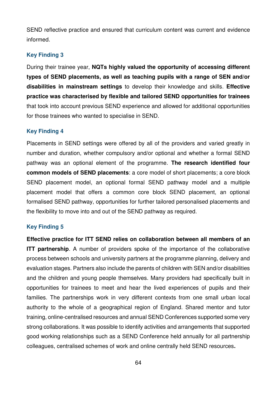SEND reflective practice and ensured that curriculum content was current and evidence informed.

# **Key Finding 3**

During their trainee year, **NQTs highly valued the opportunity of accessing different types of SEND placements, as well as teaching pupils with a range of SEN and/or disabilities in mainstream settings** to develop their knowledge and skills. **Effective practice was characterised by flexible and tailored SEND opportunities for trainees** that took into account previous SEND experience and allowed for additional opportunities for those trainees who wanted to specialise in SEND.

#### **Key Finding 4**

Placements in SEND settings were offered by all of the providers and varied greatly in number and duration, whether compulsory and/or optional and whether a formal SEND pathway was an optional element of the programme. **The research identified four common models of SEND placements**: a core model of short placements; a core block SEND placement model, an optional formal SEND pathway model and a multiple placement model that offers a common core block SEND placement, an optional formalised SEND pathway, opportunities for further tailored personalised placements and the flexibility to move into and out of the SEND pathway as required.

#### **Key Finding 5**

**Effective practice for ITT SEND relies on collaboration between all members of an ITT partnership**. A number of providers spoke of the importance of the collaborative process between schools and university partners at the programme planning, delivery and evaluation stages. Partners also include the parents of children with SEN and/or disabilities and the children and young people themselves. Many providers had specifically built in opportunities for trainees to meet and hear the lived experiences of pupils and their families. The partnerships work in very different contexts from one small urban local authority to the whole of a geographical region of England. Shared mentor and tutor training, online-centralised resources and annual SEND Conferences supported some very strong collaborations. It was possible to identify activities and arrangements that supported good working relationships such as a SEND Conference held annually for all partnership colleagues, centralised schemes of work and online centrally held SEND resources**.**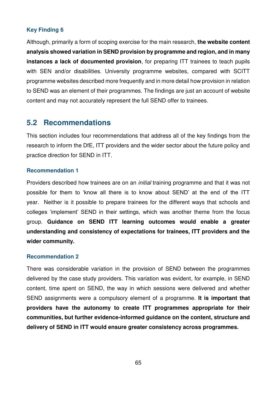# **Key Finding 6**

Although, primarily a form of scoping exercise for the main research, **the website content analysis showed variation in SEND provision by programme and region, and in many instances a lack of documented provision**, for preparing ITT trainees to teach pupils with SEN and/or disabilities. University programme websites, compared with SCITT programme websites described more frequently and in more detail how provision in relation to SEND was an element of their programmes. The findings are just an account of website content and may not accurately represent the full SEND offer to trainees.

# **5.2 Recommendations**

This section includes four recommendations that address all of the key findings from the research to inform the DfE, ITT providers and the wider sector about the future policy and practice direction for SEND in ITT.

#### **Recommendation 1**

Providers described how trainees are on an *initial* training programme and that it was not possible for them to 'know all there is to know about SEND' at the end of the ITT year. Neither is it possible to prepare trainees for the different ways that schools and colleges 'implement' SEND in their settings, which was another theme from the focus group. **Guidance on SEND ITT learning outcomes would enable a greater understanding and consistency of expectations for trainees, ITT providers and the wider community.** 

#### **Recommendation 2**

There was considerable variation in the provision of SEND between the programmes delivered by the case study providers. This variation was evident, for example, in SEND content, time spent on SEND, the way in which sessions were delivered and whether SEND assignments were a compulsory element of a programme. **It is important that providers have the autonomy to create ITT programmes appropriate for their communities, but further evidence-informed guidance on the content, structure and delivery of SEND in ITT would ensure greater consistency across programmes.**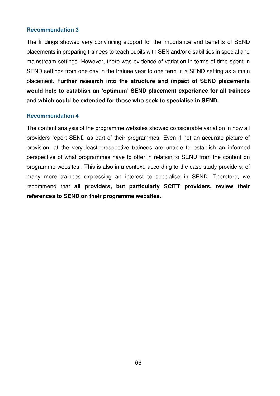#### **Recommendation 3**

The findings showed very convincing support for the importance and benefits of SEND placements in preparing trainees to teach pupils with SEN and/or disabilities in special and mainstream settings. However, there was evidence of variation in terms of time spent in SEND settings from one day in the trainee year to one term in a SEND setting as a main placement. **Further research into the structure and impact of SEND placements would help to establish an 'optimum' SEND placement experience for all trainees and which could be extended for those who seek to specialise in SEND.** 

#### **Recommendation 4**

The content analysis of the programme websites showed considerable variation in how all providers report SEND as part of their programmes. Even if not an accurate picture of provision, at the very least prospective trainees are unable to establish an informed perspective of what programmes have to offer in relation to SEND from the content on programme websites . This is also in a context, according to the case study providers, of many more trainees expressing an interest to specialise in SEND. Therefore, we recommend that **all providers, but particularly SCITT providers, review their references to SEND on their programme websites.**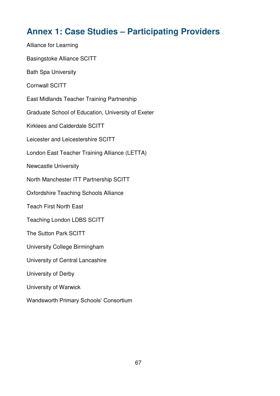# **Annex 1: Case Studies – Participating Providers**

Alliance for Learning Basingstoke Alliance SCITT Bath Spa University Cornwall SCITT East Midlands Teacher Training Partnership Graduate School of Education, University of Exeter Kirklees and Calderdale SCITT Leicester and Leicestershire SCITT London East Teacher Training Alliance (LETTA) Newcastle University North Manchester ITT Partnership SCITT Oxfordshire Teaching Schools Alliance Teach First North East Teaching London LDBS SCITT The Sutton Park SCITT University College Birmingham University of Central Lancashire University of Derby University of Warwick Wandsworth Primary Schools' Consortium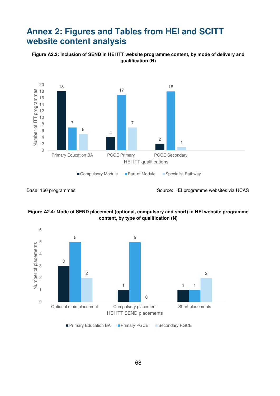# **Annex 2: Figures and Tables from HEI and SCITT website content analysis**







Base: 160 programmes Source: HEI programme websites via UCAS



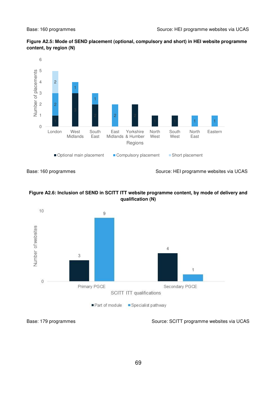



Base: 160 programmes Source: HEI programme websites via UCAS







Base: 179 programmes Source: SCITT programme websites via UCAS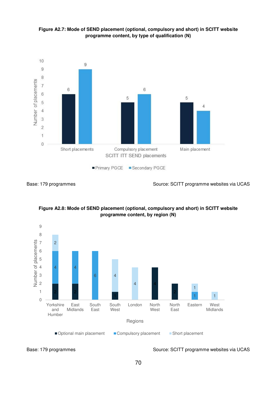





Base: 179 programmes Source: SCITT programme websites via UCAS







Base: 179 programmes Source: SCITT programme websites via UCAS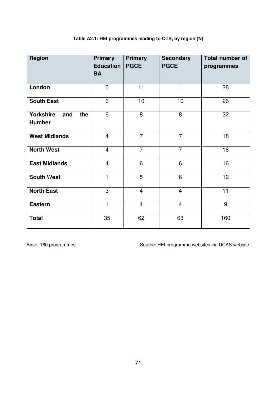| <b>Region</b>                                   | <b>Primary</b><br><b>Education</b><br><b>BA</b> | <b>Primary</b><br><b>PGCE</b> | <b>Secondary</b><br><b>PGCE</b> | Total number of<br>programmes |
|-------------------------------------------------|-------------------------------------------------|-------------------------------|---------------------------------|-------------------------------|
| London                                          | 6                                               | 11                            | 11                              | 28                            |
| <b>South East</b>                               | 6                                               | 10                            | 10                              | 26                            |
| <b>Yorkshire</b><br>the<br>and<br><b>Humber</b> | 6                                               | 8                             | 8                               | 22                            |
| <b>West Midlands</b>                            | $\overline{4}$                                  | $\overline{7}$                | $\overline{7}$                  | 18                            |
| <b>North West</b>                               | $\overline{4}$                                  | $\overline{7}$                | $\overline{7}$                  | 18                            |
| <b>East Midlands</b>                            | $\overline{4}$                                  | 6                             | 6                               | 16                            |
| <b>South West</b>                               | 1                                               | 5                             | 6                               | 12                            |
| <b>North East</b>                               | 3                                               | $\overline{4}$                | $\overline{4}$                  | 11                            |
| <b>Eastern</b>                                  | 1                                               | $\overline{4}$                | $\overline{4}$                  | 9                             |
| <b>Total</b>                                    | 35                                              | 62                            | 63                              | 160                           |

# **Table A2.1: HEI programmes leading to QTS, by region (N)**

Base: 160 programmes **Source: HEI programme websites via UCAS website**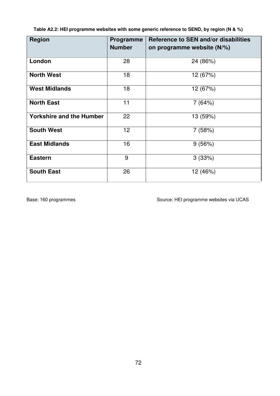**Table A2.2: HEI programme websites with some generic reference to SEND, by region (N & %)** 

| <b>Region</b>                   | <b>Programme</b><br><b>Number</b> | Reference to SEN and/or disabilities<br>on programme website (N/%) |
|---------------------------------|-----------------------------------|--------------------------------------------------------------------|
| London                          | 28                                | 24 (86%)                                                           |
| <b>North West</b>               | 18                                | 12 (67%)                                                           |
| <b>West Midlands</b>            | 18                                | 12 (67%)                                                           |
| <b>North East</b>               | 11                                | 7(64%)                                                             |
| <b>Yorkshire and the Humber</b> | 22                                | 13 (59%)                                                           |
| <b>South West</b>               | 12 <sup>2</sup>                   | 7(58%)                                                             |
| <b>East Midlands</b>            | 16                                | 9(56%)                                                             |
| <b>Eastern</b>                  | 9                                 | 3(33%)                                                             |
| <b>South East</b>               | 26                                | 12 (46%)                                                           |

Base: 160 programmes Source: HEI programme websites via UCAS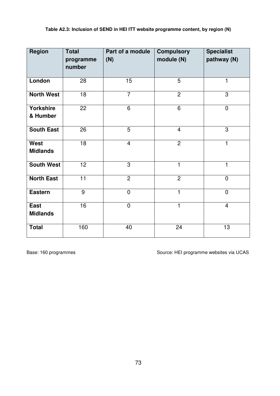| <b>Region</b>                  | <b>Total</b><br>programme<br>number | Part of a module<br>(N) | <b>Compulsory</b><br>module (N) | <b>Specialist</b><br>pathway (N) |
|--------------------------------|-------------------------------------|-------------------------|---------------------------------|----------------------------------|
| London                         | 28                                  | 15                      | 5                               | 1                                |
| <b>North West</b>              | 18                                  | $\overline{7}$          | $\overline{2}$                  | 3                                |
| <b>Yorkshire</b><br>& Humber   | 22                                  | 6                       | 6                               | $\overline{0}$                   |
| <b>South East</b>              | 26                                  | 5                       | $\overline{4}$                  | 3                                |
| <b>West</b><br><b>Midlands</b> | $\overline{18}$                     | $\overline{4}$          | $\overline{2}$                  | 1                                |
| <b>South West</b>              | 12                                  | 3                       | 1                               | 1                                |
| <b>North East</b>              | 11                                  | $\overline{2}$          | $\overline{2}$                  | $\overline{0}$                   |
| <b>Eastern</b>                 | 9                                   | $\mathbf 0$             | 1                               | $\overline{0}$                   |
| <b>East</b><br><b>Midlands</b> | 16                                  | $\overline{0}$          | 1                               | $\overline{4}$                   |
| <b>Total</b>                   | 160                                 | 40                      | 24                              | 13                               |

Base: 160 programmes Source: HEI programme websites via UCAS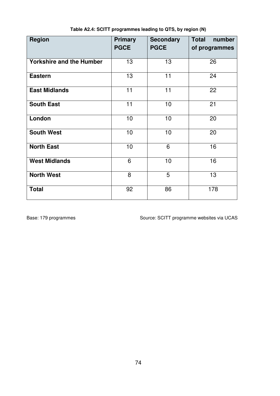| <b>Region</b>                   | <b>Primary</b> | <b>Secondary</b> | <b>Total</b><br>number |
|---------------------------------|----------------|------------------|------------------------|
|                                 | <b>PGCE</b>    | <b>PGCE</b>      | of programmes          |
| <b>Yorkshire and the Humber</b> |                |                  | 26                     |
|                                 | 13             | 13               |                        |
| <b>Eastern</b>                  | 13             | 11               | 24                     |
| <b>East Midlands</b>            | 11             | 11               | 22                     |
| <b>South East</b>               | 11             | 10               | 21                     |
| London                          | 10             | 10               | 20                     |
| <b>South West</b>               | 10             | 10               | 20                     |
| <b>North East</b>               | 10             | 6                | 16                     |
| <b>West Midlands</b>            | 6              | 10               | 16                     |
| <b>North West</b>               | 8              | 5                | 13                     |
| <b>Total</b>                    | 92             | 86               | 178                    |

**Table A2.4: SCITT programmes leading to QTS, by region (N)** 

Base: 179 programmes **Source: SCITT programme websites via UCAS**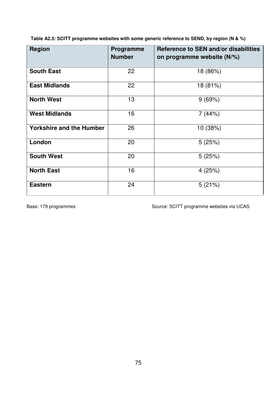**Table A2.5: SCITT programme websites with some generic reference to SEND, by region (N & %)** 

| <b>Region</b>                   | <b>Programme</b><br><b>Number</b> | Reference to SEN and/or disabilities<br>on programme website (N/%) |  |
|---------------------------------|-----------------------------------|--------------------------------------------------------------------|--|
| <b>South East</b>               | 22                                | 18 (86%)                                                           |  |
| <b>East Midlands</b>            | 22                                | 18 (81%)                                                           |  |
| <b>North West</b>               | 13                                | 9(69%)                                                             |  |
| <b>West Midlands</b>            | 16                                | 7(44%)                                                             |  |
| <b>Yorkshire and the Humber</b> | 26                                | 10 (38%)                                                           |  |
| London                          | 20                                | 5(25%)                                                             |  |
| <b>South West</b>               | 20                                | 5(25%)                                                             |  |
| <b>North East</b>               | 16                                | 4(25%)                                                             |  |
| <b>Eastern</b>                  | 24                                | 5(21%)                                                             |  |

Base: 179 programmes Source: SCITT programme websites via UCAS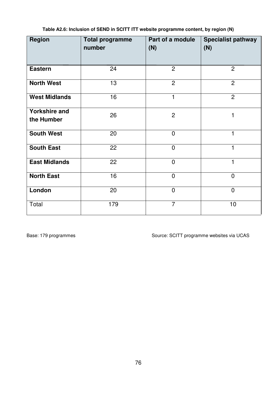| <b>Region</b>                      | <b>Total programme</b><br>number | Part of a module<br>(N) | <b>Specialist pathway</b><br>(N) |
|------------------------------------|----------------------------------|-------------------------|----------------------------------|
| <b>Eastern</b>                     | 24                               | $\overline{2}$          | $\overline{2}$                   |
| <b>North West</b>                  | 13                               | $\overline{2}$          | $\overline{2}$                   |
| <b>West Midlands</b>               | 16                               | 1                       | $\overline{2}$                   |
| <b>Yorkshire and</b><br>the Humber | 26                               | $\overline{2}$          | 1                                |
| <b>South West</b>                  | 20                               | $\overline{0}$          | $\mathbf{1}$                     |
| <b>South East</b>                  | 22                               | $\overline{0}$          | 1                                |
| <b>East Midlands</b>               | 22                               | $\overline{0}$          | 1                                |
| <b>North East</b>                  | 16                               | $\overline{0}$          | $\overline{0}$                   |
| London                             | 20                               | $\overline{0}$          | $\overline{0}$                   |
| Total                              | 179                              | $\overline{7}$          | 10                               |

**Table A2.6: Inclusion of SEND in SCITT ITT website programme content, by region (N)** 

Base: 179 programmes Source: SCITT programme websites via UCAS